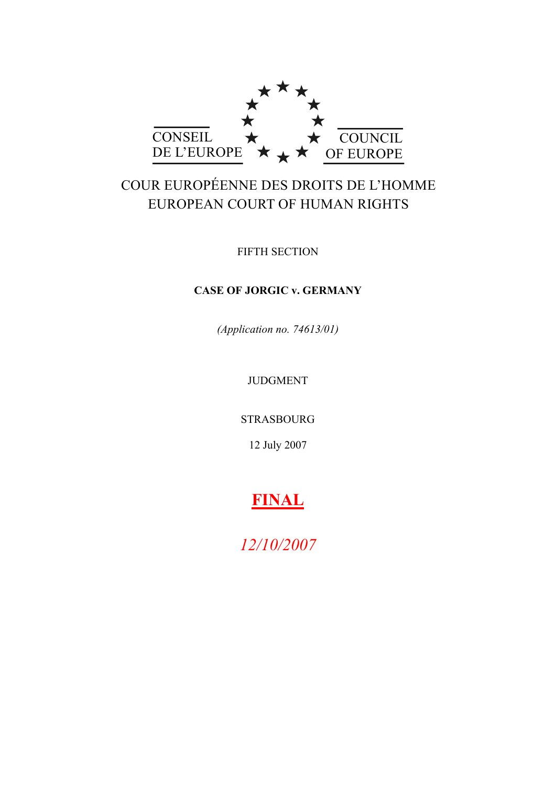

# COUR EUROPÉENNE DES DROITS DE L'HOMME EUROPEAN COURT OF HUMAN RIGHTS

FIFTH SECTION

# **CASE OF JORGIC v. GERMANY**

*(Application no. 74613/01)*

JUDGMENT

STRASBOURG

12 July 2007

# **FINAL**

*12/10/2007*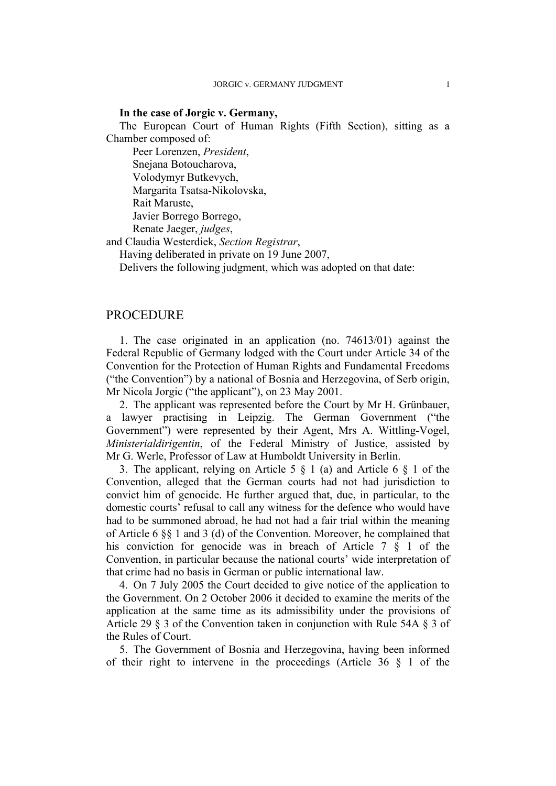### **In the case of Jorgic v. Germany,**

The European Court of Human Rights (Fifth Section), sitting as a Chamber composed of:

Peer Lorenzen, *President*, Snejana Botoucharova, Volodymyr Butkevych, Margarita Tsatsa-Nikolovska, Rait Maruste, Javier Borrego Borrego, Renate Jaeger, *judges*,

and Claudia Westerdiek, *Section Registrar*,

Having deliberated in private on 19 June 2007,

Delivers the following judgment, which was adopted on that date:

# **PROCEDURE**

1. The case originated in an application (no. 74613/01) against the Federal Republic of Germany lodged with the Court under Article 34 of the Convention for the Protection of Human Rights and Fundamental Freedoms ("the Convention") by a national of Bosnia and Herzegovina, of Serb origin, Mr Nicola Jorgic ("the applicant"), on 23 May 2001.

2. The applicant was represented before the Court by Mr H. Grünbauer, a lawyer practising in Leipzig. The German Government ("the Government") were represented by their Agent, Mrs A. Wittling-Vogel, *Ministerialdirigentin*, of the Federal Ministry of Justice, assisted by Mr G. Werle, Professor of Law at Humboldt University in Berlin.

3. The applicant, relying on Article 5 § 1 (a) and Article 6 § 1 of the Convention, alleged that the German courts had not had jurisdiction to convict him of genocide. He further argued that, due, in particular, to the domestic courts' refusal to call any witness for the defence who would have had to be summoned abroad, he had not had a fair trial within the meaning of Article 6 §§ 1 and 3 (d) of the Convention. Moreover, he complained that his conviction for genocide was in breach of Article 7  $\S$  1 of the Convention, in particular because the national courts' wide interpretation of that crime had no basis in German or public international law.

4. On 7 July 2005 the Court decided to give notice of the application to the Government. On 2 October 2006 it decided to examine the merits of the application at the same time as its admissibility under the provisions of Article 29 § 3 of the Convention taken in conjunction with Rule 54A § 3 of the Rules of Court.

5. The Government of Bosnia and Herzegovina, having been informed of their right to intervene in the proceedings (Article 36 § 1 of the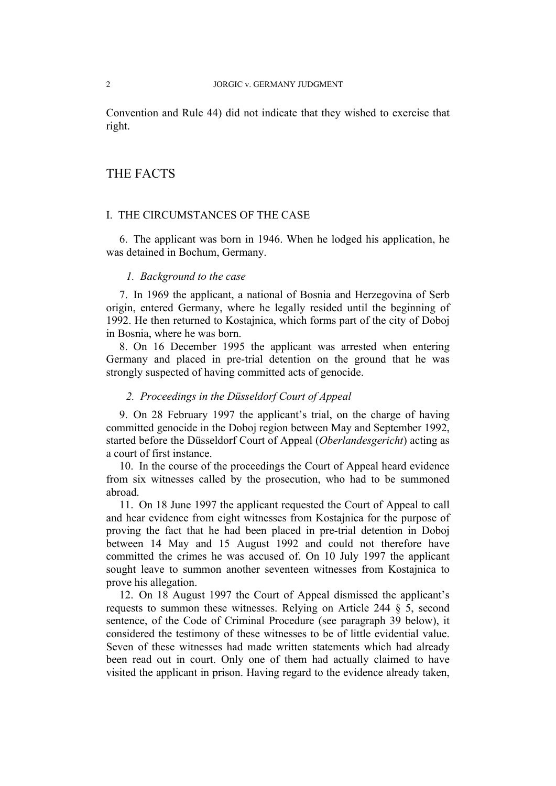Convention and Rule 44) did not indicate that they wished to exercise that right.

# THE FACTS

# I. THE CIRCUMSTANCES OF THE CASE

6. The applicant was born in 1946. When he lodged his application, he was detained in Bochum, Germany.

# *1. Background to the case*

7. In 1969 the applicant, a national of Bosnia and Herzegovina of Serb origin, entered Germany, where he legally resided until the beginning of 1992. He then returned to Kostajnica, which forms part of the city of Doboj in Bosnia, where he was born.

8. On 16 December 1995 the applicant was arrested when entering Germany and placed in pre-trial detention on the ground that he was strongly suspected of having committed acts of genocide.

# *2. Proceedings in the Düsseldorf Court of Appeal*

9. On 28 February 1997 the applicant's trial, on the charge of having committed genocide in the Doboj region between May and September 1992, started before the Düsseldorf Court of Appeal (*Oberlandesgericht*) acting as a court of first instance.

10. In the course of the proceedings the Court of Appeal heard evidence from six witnesses called by the prosecution, who had to be summoned abroad.

11. On 18 June 1997 the applicant requested the Court of Appeal to call and hear evidence from eight witnesses from Kostajnica for the purpose of proving the fact that he had been placed in pre-trial detention in Doboj between 14 May and 15 August 1992 and could not therefore have committed the crimes he was accused of. On 10 July 1997 the applicant sought leave to summon another seventeen witnesses from Kostajnica to prove his allegation.

12. On 18 August 1997 the Court of Appeal dismissed the applicant's requests to summon these witnesses. Relying on Article 244 § 5, second sentence, of the Code of Criminal Procedure (see paragraph 39 below), it considered the testimony of these witnesses to be of little evidential value. Seven of these witnesses had made written statements which had already been read out in court. Only one of them had actually claimed to have visited the applicant in prison. Having regard to the evidence already taken,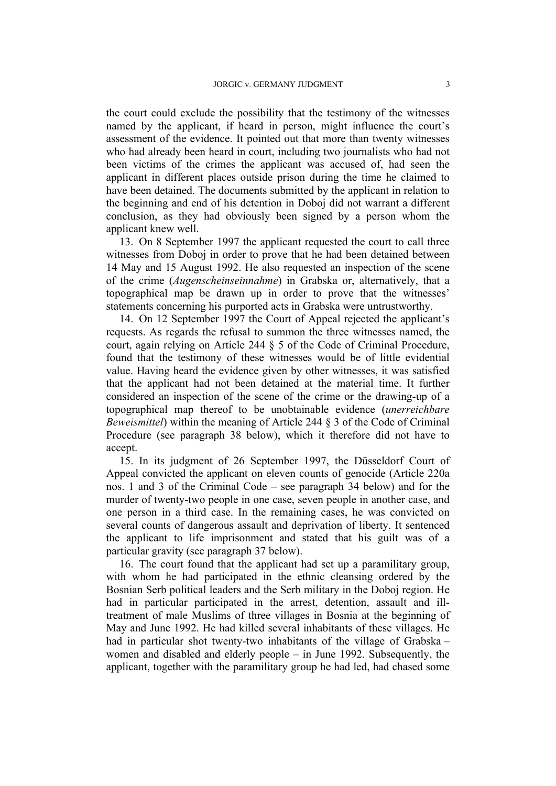the court could exclude the possibility that the testimony of the witnesses named by the applicant, if heard in person, might influence the court's assessment of the evidence. It pointed out that more than twenty witnesses who had already been heard in court, including two journalists who had not been victims of the crimes the applicant was accused of, had seen the applicant in different places outside prison during the time he claimed to have been detained. The documents submitted by the applicant in relation to the beginning and end of his detention in Doboj did not warrant a different conclusion, as they had obviously been signed by a person whom the applicant knew well.

13. On 8 September 1997 the applicant requested the court to call three witnesses from Doboj in order to prove that he had been detained between 14 May and 15 August 1992. He also requested an inspection of the scene of the crime (*Augenscheinseinnahme*) in Grabska or, alternatively, that a topographical map be drawn up in order to prove that the witnesses' statements concerning his purported acts in Grabska were untrustworthy.

14. On 12 September 1997 the Court of Appeal rejected the applicant's requests. As regards the refusal to summon the three witnesses named, the court, again relying on Article 244 § 5 of the Code of Criminal Procedure, found that the testimony of these witnesses would be of little evidential value. Having heard the evidence given by other witnesses, it was satisfied that the applicant had not been detained at the material time. It further considered an inspection of the scene of the crime or the drawing-up of a topographical map thereof to be unobtainable evidence (*unerreichbare Beweismittel*) within the meaning of Article 244 § 3 of the Code of Criminal Procedure (see paragraph 38 below), which it therefore did not have to accept.

15. In its judgment of 26 September 1997, the Düsseldorf Court of Appeal convicted the applicant on eleven counts of genocide (Article 220a nos. 1 and 3 of the Criminal Code – see paragraph 34 below) and for the murder of twenty-two people in one case, seven people in another case, and one person in a third case. In the remaining cases, he was convicted on several counts of dangerous assault and deprivation of liberty. It sentenced the applicant to life imprisonment and stated that his guilt was of a particular gravity (see paragraph 37 below).

16. The court found that the applicant had set up a paramilitary group, with whom he had participated in the ethnic cleansing ordered by the Bosnian Serb political leaders and the Serb military in the Doboj region. He had in particular participated in the arrest, detention, assault and illtreatment of male Muslims of three villages in Bosnia at the beginning of May and June 1992. He had killed several inhabitants of these villages. He had in particular shot twenty-two inhabitants of the village of Grabska – women and disabled and elderly people – in June 1992. Subsequently, the applicant, together with the paramilitary group he had led, had chased some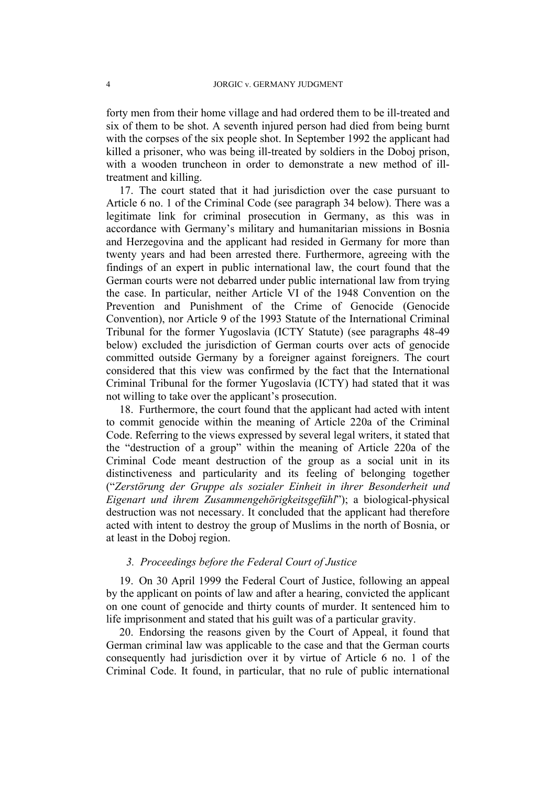forty men from their home village and had ordered them to be ill-treated and six of them to be shot. A seventh injured person had died from being burnt with the corpses of the six people shot. In September 1992 the applicant had killed a prisoner, who was being ill-treated by soldiers in the Doboj prison, with a wooden truncheon in order to demonstrate a new method of illtreatment and killing.

17. The court stated that it had jurisdiction over the case pursuant to Article 6 no. 1 of the Criminal Code (see paragraph 34 below). There was a legitimate link for criminal prosecution in Germany, as this was in accordance with Germany's military and humanitarian missions in Bosnia and Herzegovina and the applicant had resided in Germany for more than twenty years and had been arrested there. Furthermore, agreeing with the findings of an expert in public international law, the court found that the German courts were not debarred under public international law from trying the case. In particular, neither Article VI of the 1948 Convention on the Prevention and Punishment of the Crime of Genocide (Genocide Convention), nor Article 9 of the 1993 Statute of the International Criminal Tribunal for the former Yugoslavia (ICTY Statute) (see paragraphs 48-49 below) excluded the jurisdiction of German courts over acts of genocide committed outside Germany by a foreigner against foreigners. The court considered that this view was confirmed by the fact that the International Criminal Tribunal for the former Yugoslavia (ICTY) had stated that it was not willing to take over the applicant's prosecution.

18. Furthermore, the court found that the applicant had acted with intent to commit genocide within the meaning of Article 220a of the Criminal Code. Referring to the views expressed by several legal writers, it stated that the "destruction of a group" within the meaning of Article 220a of the Criminal Code meant destruction of the group as a social unit in its distinctiveness and particularity and its feeling of belonging together ("*Zerstörung der Gruppe als sozialer Einheit in ihrer Besonderheit und Eigenart und ihrem Zusammengehörigkeitsgefühl*"); a biological-physical destruction was not necessary. It concluded that the applicant had therefore acted with intent to destroy the group of Muslims in the north of Bosnia, or at least in the Doboj region.

# *3. Proceedings before the Federal Court of Justice*

19. On 30 April 1999 the Federal Court of Justice, following an appeal by the applicant on points of law and after a hearing, convicted the applicant on one count of genocide and thirty counts of murder. It sentenced him to life imprisonment and stated that his guilt was of a particular gravity.

20. Endorsing the reasons given by the Court of Appeal, it found that German criminal law was applicable to the case and that the German courts consequently had jurisdiction over it by virtue of Article 6 no. 1 of the Criminal Code. It found, in particular, that no rule of public international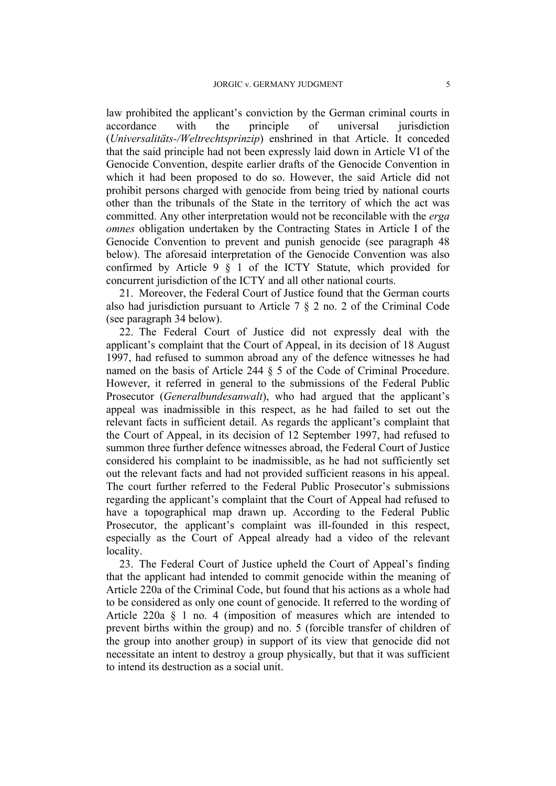law prohibited the applicant's conviction by the German criminal courts in accordance with the principle of universal jurisdiction (*Universalitäts-/Weltrechtsprinzip*) enshrined in that Article. It conceded that the said principle had not been expressly laid down in Article VI of the Genocide Convention, despite earlier drafts of the Genocide Convention in which it had been proposed to do so. However, the said Article did not prohibit persons charged with genocide from being tried by national courts other than the tribunals of the State in the territory of which the act was committed. Any other interpretation would not be reconcilable with the *erga omnes* obligation undertaken by the Contracting States in Article I of the Genocide Convention to prevent and punish genocide (see paragraph 48 below). The aforesaid interpretation of the Genocide Convention was also confirmed by Article 9 § 1 of the ICTY Statute, which provided for concurrent jurisdiction of the ICTY and all other national courts.

21. Moreover, the Federal Court of Justice found that the German courts also had jurisdiction pursuant to Article 7 § 2 no. 2 of the Criminal Code (see paragraph 34 below).

22. The Federal Court of Justice did not expressly deal with the applicant's complaint that the Court of Appeal, in its decision of 18 August 1997, had refused to summon abroad any of the defence witnesses he had named on the basis of Article 244 § 5 of the Code of Criminal Procedure. However, it referred in general to the submissions of the Federal Public Prosecutor (*Generalbundesanwalt*), who had argued that the applicant's appeal was inadmissible in this respect, as he had failed to set out the relevant facts in sufficient detail. As regards the applicant's complaint that the Court of Appeal, in its decision of 12 September 1997, had refused to summon three further defence witnesses abroad, the Federal Court of Justice considered his complaint to be inadmissible, as he had not sufficiently set out the relevant facts and had not provided sufficient reasons in his appeal. The court further referred to the Federal Public Prosecutor's submissions regarding the applicant's complaint that the Court of Appeal had refused to have a topographical map drawn up. According to the Federal Public Prosecutor, the applicant's complaint was ill-founded in this respect, especially as the Court of Appeal already had a video of the relevant locality.

23. The Federal Court of Justice upheld the Court of Appeal's finding that the applicant had intended to commit genocide within the meaning of Article 220a of the Criminal Code, but found that his actions as a whole had to be considered as only one count of genocide. It referred to the wording of Article 220a § 1 no. 4 (imposition of measures which are intended to prevent births within the group) and no. 5 (forcible transfer of children of the group into another group) in support of its view that genocide did not necessitate an intent to destroy a group physically, but that it was sufficient to intend its destruction as a social unit.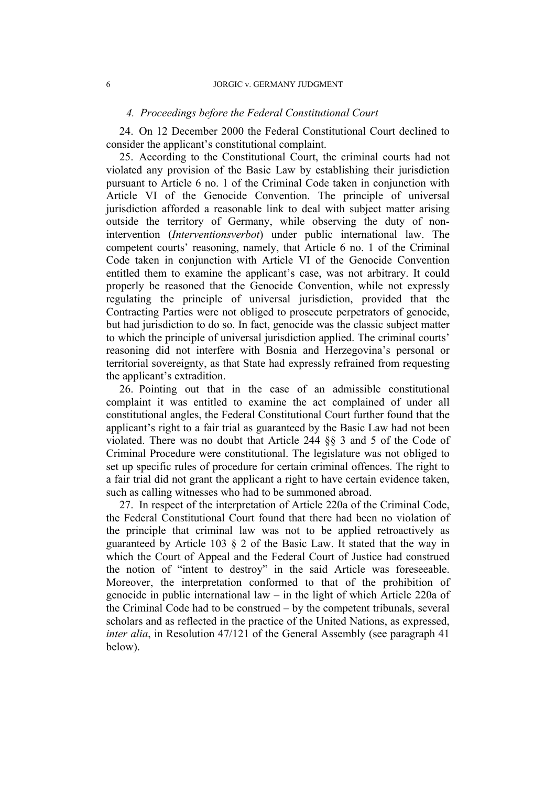### *4. Proceedings before the Federal Constitutional Court*

24. On 12 December 2000 the Federal Constitutional Court declined to consider the applicant's constitutional complaint.

25. According to the Constitutional Court, the criminal courts had not violated any provision of the Basic Law by establishing their jurisdiction pursuant to Article 6 no. 1 of the Criminal Code taken in conjunction with Article VI of the Genocide Convention. The principle of universal jurisdiction afforded a reasonable link to deal with subject matter arising outside the territory of Germany, while observing the duty of nonintervention (*Interventionsverbot*) under public international law. The competent courts' reasoning, namely, that Article 6 no. 1 of the Criminal Code taken in conjunction with Article VI of the Genocide Convention entitled them to examine the applicant's case, was not arbitrary. It could properly be reasoned that the Genocide Convention, while not expressly regulating the principle of universal jurisdiction, provided that the Contracting Parties were not obliged to prosecute perpetrators of genocide, but had jurisdiction to do so. In fact, genocide was the classic subject matter to which the principle of universal jurisdiction applied. The criminal courts' reasoning did not interfere with Bosnia and Herzegovina's personal or territorial sovereignty, as that State had expressly refrained from requesting the applicant's extradition.

26. Pointing out that in the case of an admissible constitutional complaint it was entitled to examine the act complained of under all constitutional angles, the Federal Constitutional Court further found that the applicant's right to a fair trial as guaranteed by the Basic Law had not been violated. There was no doubt that Article 244 §§ 3 and 5 of the Code of Criminal Procedure were constitutional. The legislature was not obliged to set up specific rules of procedure for certain criminal offences. The right to a fair trial did not grant the applicant a right to have certain evidence taken, such as calling witnesses who had to be summoned abroad.

27. In respect of the interpretation of Article 220a of the Criminal Code, the Federal Constitutional Court found that there had been no violation of the principle that criminal law was not to be applied retroactively as guaranteed by Article 103 § 2 of the Basic Law. It stated that the way in which the Court of Appeal and the Federal Court of Justice had construed the notion of "intent to destroy" in the said Article was foreseeable. Moreover, the interpretation conformed to that of the prohibition of genocide in public international law – in the light of which Article 220a of the Criminal Code had to be construed – by the competent tribunals, several scholars and as reflected in the practice of the United Nations, as expressed, *inter alia*, in Resolution 47/121 of the General Assembly (see paragraph 41 below).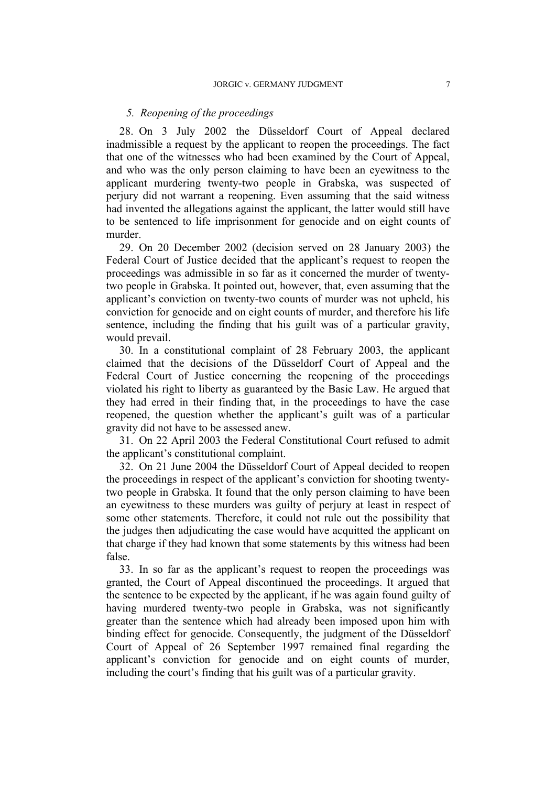### *5. Reopening of the proceedings*

28. On 3 July 2002 the Düsseldorf Court of Appeal declared inadmissible a request by the applicant to reopen the proceedings. The fact that one of the witnesses who had been examined by the Court of Appeal, and who was the only person claiming to have been an eyewitness to the applicant murdering twenty-two people in Grabska, was suspected of perjury did not warrant a reopening. Even assuming that the said witness had invented the allegations against the applicant, the latter would still have to be sentenced to life imprisonment for genocide and on eight counts of murder.

29. On 20 December 2002 (decision served on 28 January 2003) the Federal Court of Justice decided that the applicant's request to reopen the proceedings was admissible in so far as it concerned the murder of twentytwo people in Grabska. It pointed out, however, that, even assuming that the applicant's conviction on twenty-two counts of murder was not upheld, his conviction for genocide and on eight counts of murder, and therefore his life sentence, including the finding that his guilt was of a particular gravity, would prevail.

30. In a constitutional complaint of 28 February 2003, the applicant claimed that the decisions of the Düsseldorf Court of Appeal and the Federal Court of Justice concerning the reopening of the proceedings violated his right to liberty as guaranteed by the Basic Law. He argued that they had erred in their finding that, in the proceedings to have the case reopened, the question whether the applicant's guilt was of a particular gravity did not have to be assessed anew.

31. On 22 April 2003 the Federal Constitutional Court refused to admit the applicant's constitutional complaint.

32. On 21 June 2004 the Düsseldorf Court of Appeal decided to reopen the proceedings in respect of the applicant's conviction for shooting twentytwo people in Grabska. It found that the only person claiming to have been an eyewitness to these murders was guilty of perjury at least in respect of some other statements. Therefore, it could not rule out the possibility that the judges then adjudicating the case would have acquitted the applicant on that charge if they had known that some statements by this witness had been false.

33. In so far as the applicant's request to reopen the proceedings was granted, the Court of Appeal discontinued the proceedings. It argued that the sentence to be expected by the applicant, if he was again found guilty of having murdered twenty-two people in Grabska, was not significantly greater than the sentence which had already been imposed upon him with binding effect for genocide. Consequently, the judgment of the Düsseldorf Court of Appeal of 26 September 1997 remained final regarding the applicant's conviction for genocide and on eight counts of murder, including the court's finding that his guilt was of a particular gravity.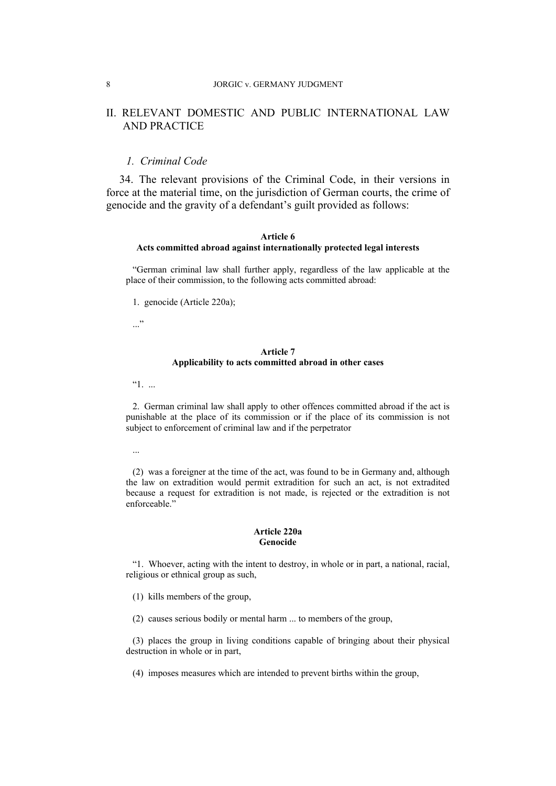#### 8 JORGIC v. GERMANY JUDGMENT

# II. RELEVANT DOMESTIC AND PUBLIC INTERNATIONAL LAW AND PRACTICE

# *1. Criminal Code*

34. The relevant provisions of the Criminal Code, in their versions in force at the material time, on the jurisdiction of German courts, the crime of genocide and the gravity of a defendant's guilt provided as follows:

### **Article 6 Acts committed abroad against internationally protected legal interests**

"German criminal law shall further apply, regardless of the law applicable at the place of their commission, to the following acts committed abroad:

1. genocide (Article 220a);

 $\ddots$ "

### **Article 7 Applicability to acts committed abroad in other cases**

 $^\alpha 1.$   $\dots$ 

2. German criminal law shall apply to other offences committed abroad if the act is punishable at the place of its commission or if the place of its commission is not subject to enforcement of criminal law and if the perpetrator

...

(2) was a foreigner at the time of the act, was found to be in Germany and, although the law on extradition would permit extradition for such an act, is not extradited because a request for extradition is not made, is rejected or the extradition is not enforceable."

#### **Article 220a Genocide**

"1. Whoever, acting with the intent to destroy, in whole or in part, a national, racial, religious or ethnical group as such,

- (1) kills members of the group,
- (2) causes serious bodily or mental harm ... to members of the group,

(3) places the group in living conditions capable of bringing about their physical destruction in whole or in part,

(4) imposes measures which are intended to prevent births within the group,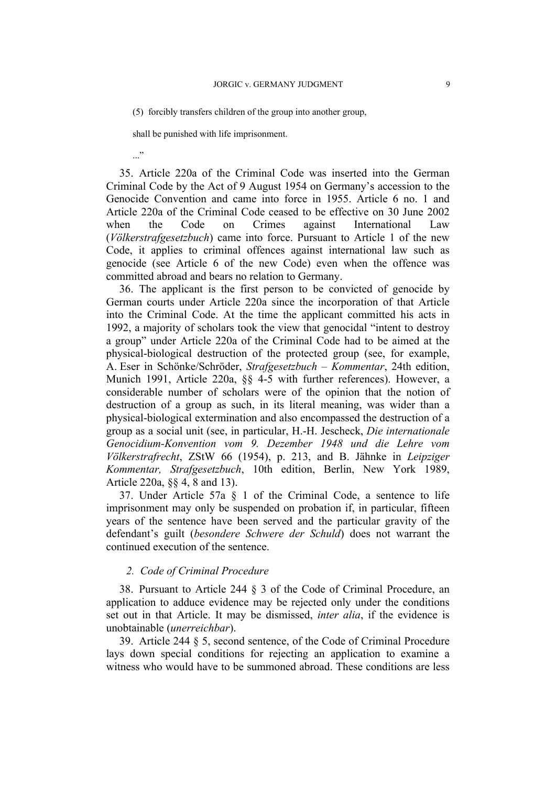(5) forcibly transfers children of the group into another group,

shall be punished with life imprisonment.

 $\cdot$ ..."

35. Article 220a of the Criminal Code was inserted into the German Criminal Code by the Act of 9 August 1954 on Germany's accession to the Genocide Convention and came into force in 1955. Article 6 no. 1 and Article 220a of the Criminal Code ceased to be effective on 30 June 2002 when the Code on Crimes against International Law (*Völkerstrafgesetzbuch*) came into force. Pursuant to Article 1 of the new Code, it applies to criminal offences against international law such as genocide (see Article 6 of the new Code) even when the offence was committed abroad and bears no relation to Germany.

36. The applicant is the first person to be convicted of genocide by German courts under Article 220a since the incorporation of that Article into the Criminal Code. At the time the applicant committed his acts in 1992, a majority of scholars took the view that genocidal "intent to destroy a group" under Article 220a of the Criminal Code had to be aimed at the physical-biological destruction of the protected group (see, for example, A. Eser in Schönke/Schröder, *Strafgesetzbuch – Kommentar*, 24th edition, Munich 1991, Article 220a, §§ 4-5 with further references). However, a considerable number of scholars were of the opinion that the notion of destruction of a group as such, in its literal meaning, was wider than a physical-biological extermination and also encompassed the destruction of a group as a social unit (see, in particular, H.-H. Jescheck, *Die internationale Genocidium-Konvention vom 9. Dezember 1948 und die Lehre vom Völkerstrafrecht*, ZStW 66 (1954), p. 213, and B. Jähnke in *Leipziger Kommentar, Strafgesetzbuch*, 10th edition, Berlin, New York 1989, Article 220a, §§ 4, 8 and 13).

37. Under Article 57a § 1 of the Criminal Code, a sentence to life imprisonment may only be suspended on probation if, in particular, fifteen years of the sentence have been served and the particular gravity of the defendant's guilt (*besondere Schwere der Schuld*) does not warrant the continued execution of the sentence.

# *2. Code of Criminal Procedure*

38. Pursuant to Article 244 § 3 of the Code of Criminal Procedure, an application to adduce evidence may be rejected only under the conditions set out in that Article. It may be dismissed, *inter alia*, if the evidence is unobtainable (*unerreichbar*).

39. Article 244 § 5, second sentence, of the Code of Criminal Procedure lays down special conditions for rejecting an application to examine a witness who would have to be summoned abroad. These conditions are less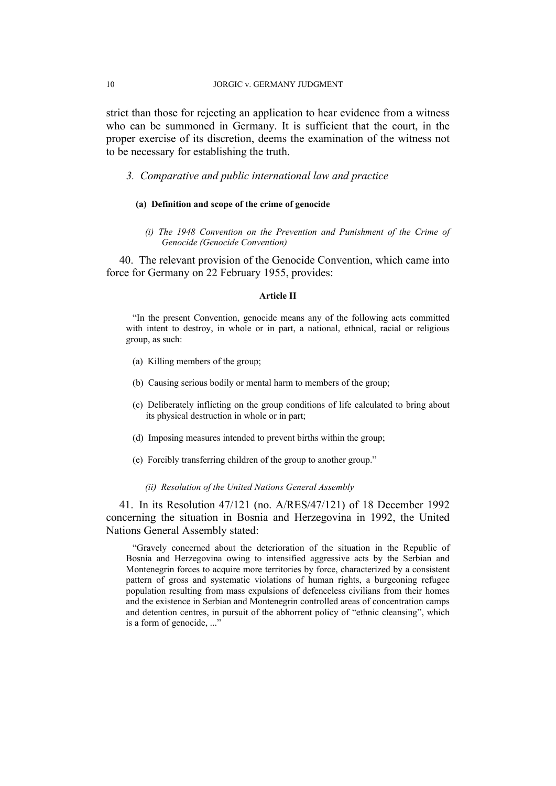strict than those for rejecting an application to hear evidence from a witness who can be summoned in Germany. It is sufficient that the court, in the proper exercise of its discretion, deems the examination of the witness not to be necessary for establishing the truth.

### *3. Comparative and public international law and practice*

#### **(a) Definition and scope of the crime of genocide**

*(i) The 1948 Convention on the Prevention and Punishment of the Crime of Genocide (Genocide Convention)*

40. The relevant provision of the Genocide Convention, which came into force for Germany on 22 February 1955, provides:

#### **Article II**

"In the present Convention, genocide means any of the following acts committed with intent to destroy, in whole or in part, a national, ethnical, racial or religious group, as such:

- (a) Killing members of the group;
- (b) Causing serious bodily or mental harm to members of the group;
- (c) Deliberately inflicting on the group conditions of life calculated to bring about its physical destruction in whole or in part;
- (d) Imposing measures intended to prevent births within the group;
- (e) Forcibly transferring children of the group to another group."

### *(ii) Resolution of the United Nations General Assembly*

41. In its Resolution 47/121 (no. A/RES/47/121) of 18 December 1992 concerning the situation in Bosnia and Herzegovina in 1992, the United Nations General Assembly stated:

"Gravely concerned about the deterioration of the situation in the Republic of Bosnia and Herzegovina owing to intensified aggressive acts by the Serbian and Montenegrin forces to acquire more territories by force, characterized by a consistent pattern of gross and systematic violations of human rights, a burgeoning refugee population resulting from mass expulsions of defenceless civilians from their homes and the existence in Serbian and Montenegrin controlled areas of concentration camps and detention centres, in pursuit of the abhorrent policy of "ethnic cleansing", which is a form of genocide, ..."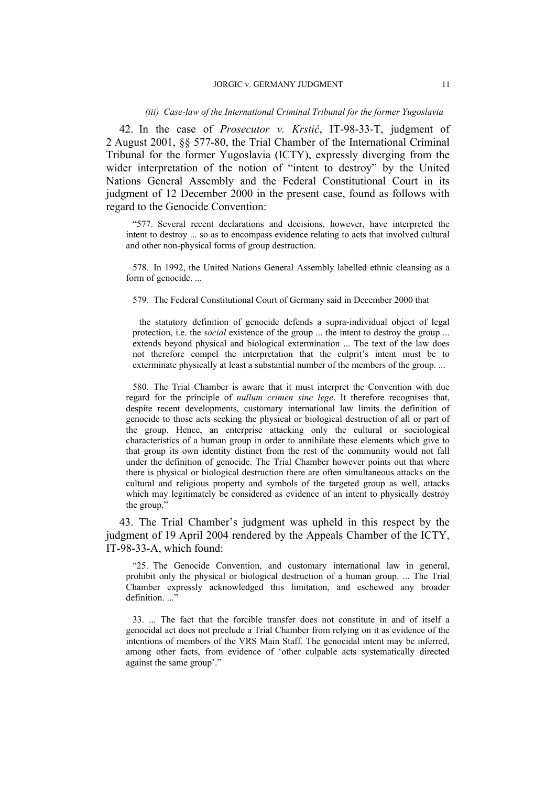#### JORGIC v. GERMANY JUDGMENT 11

### *(iii) Case-law of the International Criminal Tribunal for the former Yugoslavia*

42. In the case of *Prosecutor v. Krstić*, IT-98-33-T, judgment of 2 August 2001, §§ 577-80, the Trial Chamber of the International Criminal Tribunal for the former Yugoslavia (ICTY), expressly diverging from the wider interpretation of the notion of "intent to destroy" by the United Nations General Assembly and the Federal Constitutional Court in its judgment of 12 December 2000 in the present case, found as follows with regard to the Genocide Convention:

"577. Several recent declarations and decisions, however, have interpreted the intent to destroy ... so as to encompass evidence relating to acts that involved cultural and other non-physical forms of group destruction.

578. In 1992, the United Nations General Assembly labelled ethnic cleansing as a form of genocide. ...

579. The Federal Constitutional Court of Germany said in December 2000 that

the statutory definition of genocide defends a supra-individual object of legal protection, i.e. the *social* existence of the group ... the intent to destroy the group ... extends beyond physical and biological extermination ... The text of the law does not therefore compel the interpretation that the culprit's intent must be to exterminate physically at least a substantial number of the members of the group. ...

580. The Trial Chamber is aware that it must interpret the Convention with due regard for the principle of *nullum crimen sine lege*. It therefore recognises that, despite recent developments, customary international law limits the definition of genocide to those acts seeking the physical or biological destruction of all or part of the group. Hence, an enterprise attacking only the cultural or sociological characteristics of a human group in order to annihilate these elements which give to that group its own identity distinct from the rest of the community would not fall under the definition of genocide. The Trial Chamber however points out that where there is physical or biological destruction there are often simultaneous attacks on the cultural and religious property and symbols of the targeted group as well, attacks which may legitimately be considered as evidence of an intent to physically destroy the group."

43. The Trial Chamber's judgment was upheld in this respect by the judgment of 19 April 2004 rendered by the Appeals Chamber of the ICTY, IT-98-33-A, which found:

"25. The Genocide Convention, and customary international law in general, prohibit only the physical or biological destruction of a human group. ... The Trial Chamber expressly acknowledged this limitation, and eschewed any broader definition..."

33. ... The fact that the forcible transfer does not constitute in and of itself a genocidal act does not preclude a Trial Chamber from relying on it as evidence of the intentions of members of the VRS Main Staff. The genocidal intent may be inferred, among other facts, from evidence of 'other culpable acts systematically directed against the same group'."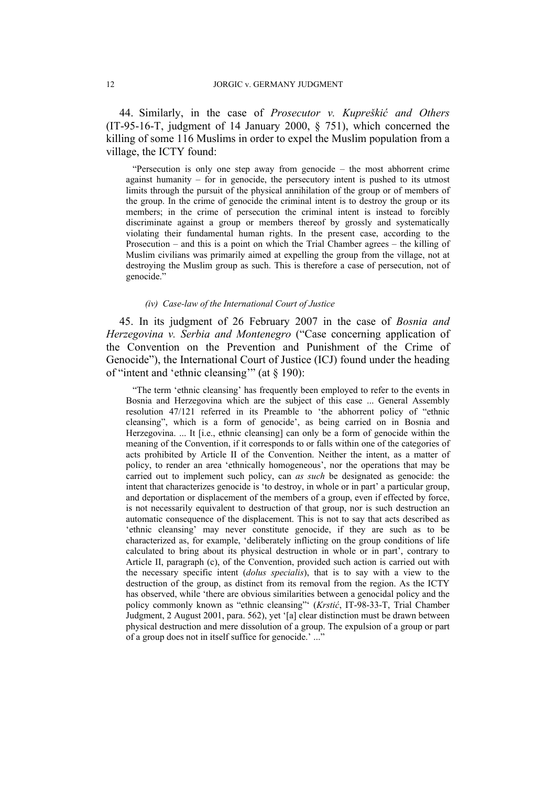44. Similarly, in the case of *Prosecutor v. Kupreškić and Others* (IT-95-16-T, judgment of 14 January 2000, § 751), which concerned the killing of some 116 Muslims in order to expel the Muslim population from a village, the ICTY found:

"Persecution is only one step away from genocide – the most abhorrent crime against humanity – for in genocide, the persecutory intent is pushed to its utmost limits through the pursuit of the physical annihilation of the group or of members of the group. In the crime of genocide the criminal intent is to destroy the group or its members; in the crime of persecution the criminal intent is instead to forcibly discriminate against a group or members thereof by grossly and systematically violating their fundamental human rights. In the present case, according to the Prosecution – and this is a point on which the Trial Chamber agrees – the killing of Muslim civilians was primarily aimed at expelling the group from the village, not at destroying the Muslim group as such. This is therefore a case of persecution, not of genocide."

### *(iv) Case-law of the International Court of Justice*

45. In its judgment of 26 February 2007 in the case of *Bosnia and Herzegovina v. Serbia and Montenegro* ("Case concerning application of the Convention on the Prevention and Punishment of the Crime of Genocide"), the International Court of Justice (ICJ) found under the heading of "intent and 'ethnic cleansing'" (at § 190):

"The term 'ethnic cleansing' has frequently been employed to refer to the events in Bosnia and Herzegovina which are the subject of this case ... General Assembly resolution 47/121 referred in its Preamble to 'the abhorrent policy of "ethnic cleansing", which is a form of genocide', as being carried on in Bosnia and Herzegovina. ... It [i.e., ethnic cleansing] can only be a form of genocide within the meaning of the Convention, if it corresponds to or falls within one of the categories of acts prohibited by Article II of the Convention. Neither the intent, as a matter of policy, to render an area 'ethnically homogeneous', nor the operations that may be carried out to implement such policy, can *as such* be designated as genocide: the intent that characterizes genocide is 'to destroy, in whole or in part' a particular group, and deportation or displacement of the members of a group, even if effected by force, is not necessarily equivalent to destruction of that group, nor is such destruction an automatic consequence of the displacement. This is not to say that acts described as 'ethnic cleansing' may never constitute genocide, if they are such as to be characterized as, for example, 'deliberately inflicting on the group conditions of life calculated to bring about its physical destruction in whole or in part', contrary to Article II, paragraph (c), of the Convention, provided such action is carried out with the necessary specific intent (*dolus specialis*), that is to say with a view to the destruction of the group, as distinct from its removal from the region. As the ICTY has observed, while 'there are obvious similarities between a genocidal policy and the policy commonly known as "ethnic cleansing"' (*Krstić*, IT-98-33-T, Trial Chamber Judgment, 2 August 2001, para. 562), yet '[a] clear distinction must be drawn between physical destruction and mere dissolution of a group. The expulsion of a group or part of a group does not in itself suffice for genocide.' ..."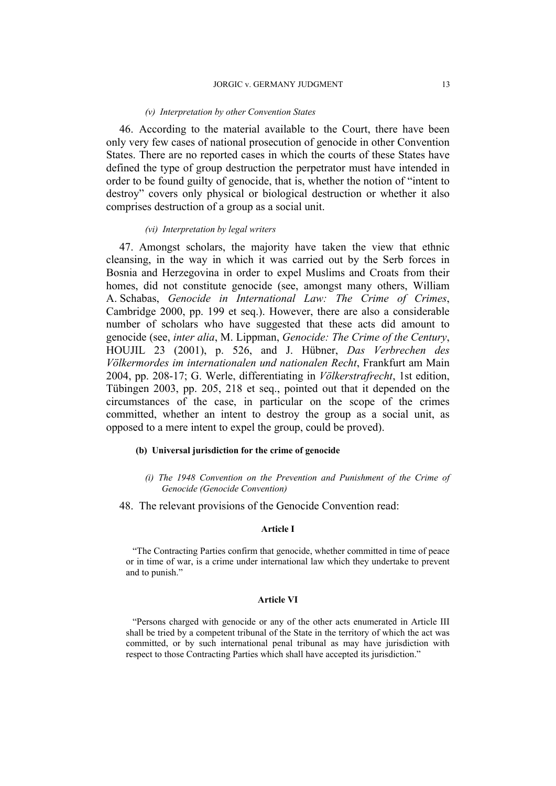#### *(v) Interpretation by other Convention States*

46. According to the material available to the Court, there have been only very few cases of national prosecution of genocide in other Convention States. There are no reported cases in which the courts of these States have defined the type of group destruction the perpetrator must have intended in order to be found guilty of genocide, that is, whether the notion of "intent to destroy" covers only physical or biological destruction or whether it also comprises destruction of a group as a social unit.

### *(vi) Interpretation by legal writers*

47. Amongst scholars, the majority have taken the view that ethnic cleansing, in the way in which it was carried out by the Serb forces in Bosnia and Herzegovina in order to expel Muslims and Croats from their homes, did not constitute genocide (see, amongst many others, William A. Schabas, *Genocide in International Law: The Crime of Crimes*, Cambridge 2000, pp. 199 et seq.). However, there are also a considerable number of scholars who have suggested that these acts did amount to genocide (see, *inter alia*, M. Lippman, *Genocide: The Crime of the Century*, HOUJIL 23 (2001), p. 526, and J. Hübner, *Das Verbrechen des Völkermordes im internationalen und nationalen Recht*, Frankfurt am Main 2004, pp. 208-17; G. Werle, differentiating in *Völkerstrafrecht*, 1st edition, Tübingen 2003, pp. 205, 218 et seq., pointed out that it depended on the circumstances of the case, in particular on the scope of the crimes committed, whether an intent to destroy the group as a social unit, as opposed to a mere intent to expel the group, could be proved).

### **(b) Universal jurisdiction for the crime of genocide**

- *(i) The 1948 Convention on the Prevention and Punishment of the Crime of Genocide (Genocide Convention)*
- 48. The relevant provisions of the Genocide Convention read:

### **Article I**

"The Contracting Parties confirm that genocide, whether committed in time of peace or in time of war, is a crime under international law which they undertake to prevent and to punish."

### **Article VI**

"Persons charged with genocide or any of the other acts enumerated in Article III shall be tried by a competent tribunal of the State in the territory of which the act was committed, or by such international penal tribunal as may have jurisdiction with respect to those Contracting Parties which shall have accepted its jurisdiction."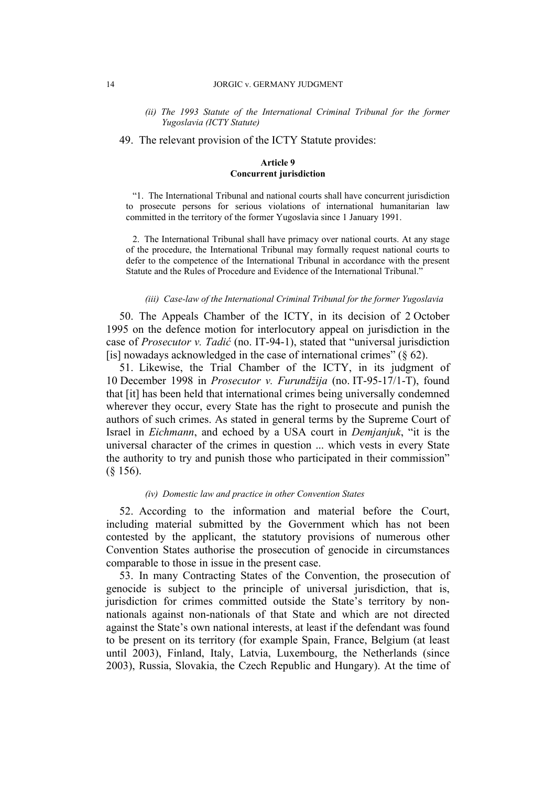#### 14 JORGIC v. GERMANY JUDGMENT

- *(ii) The 1993 Statute of the International Criminal Tribunal for the former Yugoslavia (ICTY Statute)*
- 49. The relevant provision of the ICTY Statute provides:

### **Article 9 Concurrent jurisdiction**

"1. The International Tribunal and national courts shall have concurrent jurisdiction to prosecute persons for serious violations of international humanitarian law committed in the territory of the former Yugoslavia since 1 January 1991.

2. The International Tribunal shall have primacy over national courts. At any stage of the procedure, the International Tribunal may formally request national courts to defer to the competence of the International Tribunal in accordance with the present Statute and the Rules of Procedure and Evidence of the International Tribunal."

#### *(iii) Case-law of the International Criminal Tribunal for the former Yugoslavia*

50. The Appeals Chamber of the ICTY, in its decision of 2 October 1995 on the defence motion for interlocutory appeal on jurisdiction in the case of *Prosecutor v. Tadić* (no. IT-94-1), stated that "universal jurisdiction [is] nowadays acknowledged in the case of international crimes"  $(§ 62)$ .

51. Likewise, the Trial Chamber of the ICTY, in its judgment of 10 December 1998 in *Prosecutor v. Furundžija* (no. IT-95-17/1-T), found that [it] has been held that international crimes being universally condemned wherever they occur, every State has the right to prosecute and punish the authors of such crimes. As stated in general terms by the Supreme Court of Israel in *Eichmann*, and echoed by a USA court in *Demjanjuk*, "it is the universal character of the crimes in question ... which vests in every State the authority to try and punish those who participated in their commission" (§ 156).

### *(iv) Domestic law and practice in other Convention States*

52. According to the information and material before the Court, including material submitted by the Government which has not been contested by the applicant, the statutory provisions of numerous other Convention States authorise the prosecution of genocide in circumstances comparable to those in issue in the present case.

53. In many Contracting States of the Convention, the prosecution of genocide is subject to the principle of universal jurisdiction, that is, jurisdiction for crimes committed outside the State's territory by nonnationals against non-nationals of that State and which are not directed against the State's own national interests, at least if the defendant was found to be present on its territory (for example Spain, France, Belgium (at least until 2003), Finland, Italy, Latvia, Luxembourg, the Netherlands (since 2003), Russia, Slovakia, the Czech Republic and Hungary). At the time of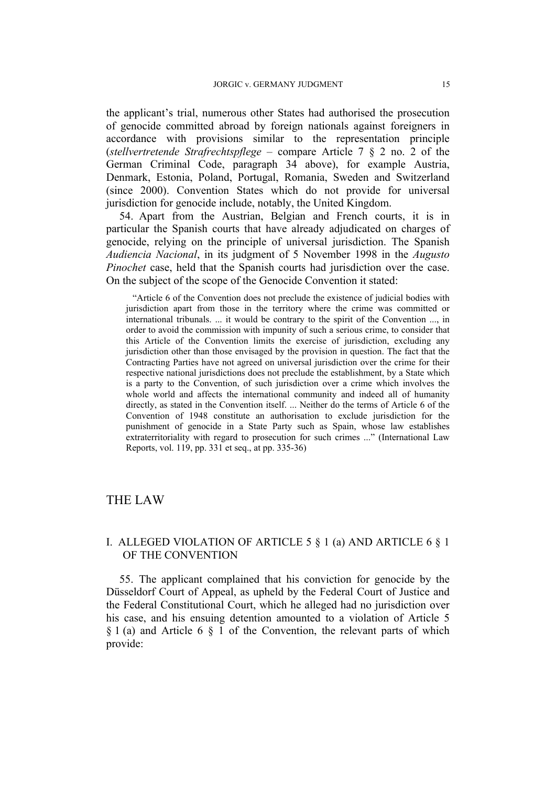the applicant's trial, numerous other States had authorised the prosecution of genocide committed abroad by foreign nationals against foreigners in accordance with provisions similar to the representation principle (*stellvertretende Strafrechtspflege* – compare Article 7 § 2 no. 2 of the German Criminal Code, paragraph 34 above), for example Austria, Denmark, Estonia, Poland, Portugal, Romania, Sweden and Switzerland (since 2000). Convention States which do not provide for universal jurisdiction for genocide include, notably, the United Kingdom.

54. Apart from the Austrian, Belgian and French courts, it is in particular the Spanish courts that have already adjudicated on charges of genocide, relying on the principle of universal jurisdiction. The Spanish *Audiencia Nacional*, in its judgment of 5 November 1998 in the *Augusto Pinochet* case, held that the Spanish courts had jurisdiction over the case. On the subject of the scope of the Genocide Convention it stated:

"Article 6 of the Convention does not preclude the existence of judicial bodies with jurisdiction apart from those in the territory where the crime was committed or international tribunals. ... it would be contrary to the spirit of the Convention ..., in order to avoid the commission with impunity of such a serious crime, to consider that this Article of the Convention limits the exercise of jurisdiction, excluding any jurisdiction other than those envisaged by the provision in question. The fact that the Contracting Parties have not agreed on universal jurisdiction over the crime for their respective national jurisdictions does not preclude the establishment, by a State which is a party to the Convention, of such jurisdiction over a crime which involves the whole world and affects the international community and indeed all of humanity directly, as stated in the Convention itself. ... Neither do the terms of Article 6 of the Convention of 1948 constitute an authorisation to exclude jurisdiction for the punishment of genocide in a State Party such as Spain, whose law establishes extraterritoriality with regard to prosecution for such crimes ..." (International Law Reports, vol. 119, pp. 331 et seq., at pp. 335-36)

# THE LAW

# I. ALLEGED VIOLATION OF ARTICLE 5 § 1 (a) AND ARTICLE 6 § 1 OF THE CONVENTION

55. The applicant complained that his conviction for genocide by the Düsseldorf Court of Appeal, as upheld by the Federal Court of Justice and the Federal Constitutional Court, which he alleged had no jurisdiction over his case, and his ensuing detention amounted to a violation of Article 5 § 1 (a) and Article 6 § 1 of the Convention, the relevant parts of which provide: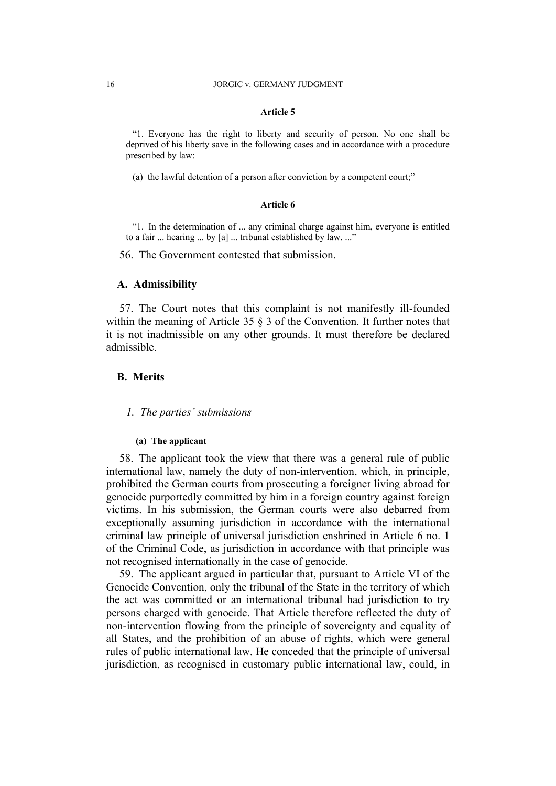### **Article 5**

"1. Everyone has the right to liberty and security of person. No one shall be deprived of his liberty save in the following cases and in accordance with a procedure prescribed by law:

(a) the lawful detention of a person after conviction by a competent court;"

### **Article 6**

"1. In the determination of ... any criminal charge against him, everyone is entitled to a fair ... hearing ... by [a] ... tribunal established by law. ..."

56. The Government contested that submission.

# **A. Admissibility**

57. The Court notes that this complaint is not manifestly ill-founded within the meaning of Article 35  $\S$  3 of the Convention. It further notes that it is not inadmissible on any other grounds. It must therefore be declared admissible.

# **B. Merits**

### *1. The parties' submissions*

### **(a) The applicant**

58. The applicant took the view that there was a general rule of public international law, namely the duty of non-intervention, which, in principle, prohibited the German courts from prosecuting a foreigner living abroad for genocide purportedly committed by him in a foreign country against foreign victims. In his submission, the German courts were also debarred from exceptionally assuming jurisdiction in accordance with the international criminal law principle of universal jurisdiction enshrined in Article 6 no. 1 of the Criminal Code, as jurisdiction in accordance with that principle was not recognised internationally in the case of genocide.

59. The applicant argued in particular that, pursuant to Article VI of the Genocide Convention, only the tribunal of the State in the territory of which the act was committed or an international tribunal had jurisdiction to try persons charged with genocide. That Article therefore reflected the duty of non-intervention flowing from the principle of sovereignty and equality of all States, and the prohibition of an abuse of rights, which were general rules of public international law. He conceded that the principle of universal jurisdiction, as recognised in customary public international law, could, in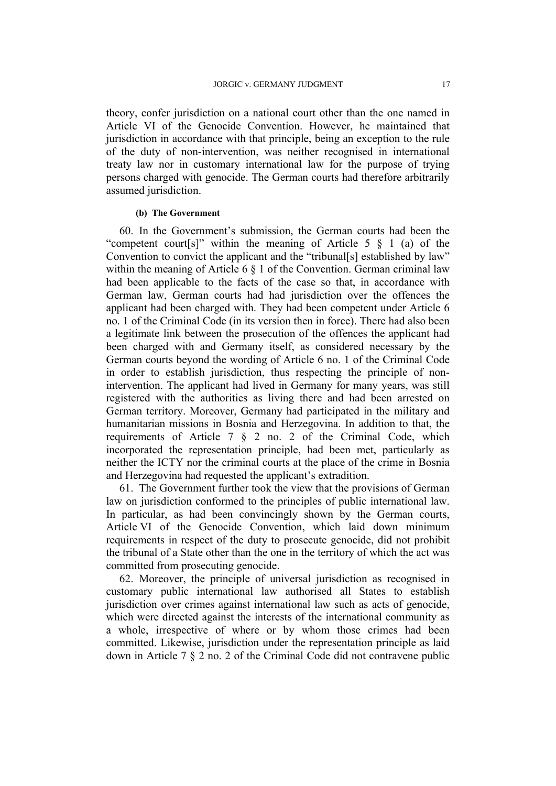theory, confer jurisdiction on a national court other than the one named in Article VI of the Genocide Convention. However, he maintained that jurisdiction in accordance with that principle, being an exception to the rule of the duty of non-intervention, was neither recognised in international treaty law nor in customary international law for the purpose of trying persons charged with genocide. The German courts had therefore arbitrarily assumed jurisdiction.

### **(b) The Government**

60. In the Government's submission, the German courts had been the "competent court[s]" within the meaning of Article 5 § 1 (a) of the Convention to convict the applicant and the "tribunal[s] established by law" within the meaning of Article 6  $\S$  1 of the Convention. German criminal law had been applicable to the facts of the case so that, in accordance with German law, German courts had had jurisdiction over the offences the applicant had been charged with. They had been competent under Article 6 no. 1 of the Criminal Code (in its version then in force). There had also been a legitimate link between the prosecution of the offences the applicant had been charged with and Germany itself, as considered necessary by the German courts beyond the wording of Article 6 no. 1 of the Criminal Code in order to establish jurisdiction, thus respecting the principle of nonintervention. The applicant had lived in Germany for many years, was still registered with the authorities as living there and had been arrested on German territory. Moreover, Germany had participated in the military and humanitarian missions in Bosnia and Herzegovina. In addition to that, the requirements of Article 7 § 2 no. 2 of the Criminal Code, which incorporated the representation principle, had been met, particularly as neither the ICTY nor the criminal courts at the place of the crime in Bosnia and Herzegovina had requested the applicant's extradition.

61. The Government further took the view that the provisions of German law on jurisdiction conformed to the principles of public international law. In particular, as had been convincingly shown by the German courts, Article VI of the Genocide Convention, which laid down minimum requirements in respect of the duty to prosecute genocide, did not prohibit the tribunal of a State other than the one in the territory of which the act was committed from prosecuting genocide.

62. Moreover, the principle of universal jurisdiction as recognised in customary public international law authorised all States to establish jurisdiction over crimes against international law such as acts of genocide, which were directed against the interests of the international community as a whole, irrespective of where or by whom those crimes had been committed. Likewise, jurisdiction under the representation principle as laid down in Article 7 § 2 no. 2 of the Criminal Code did not contravene public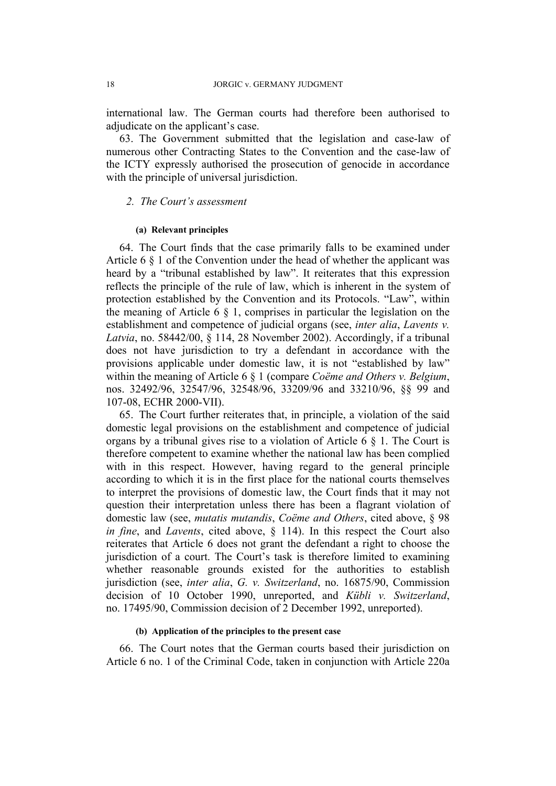international law. The German courts had therefore been authorised to adjudicate on the applicant's case.

63. The Government submitted that the legislation and case-law of numerous other Contracting States to the Convention and the case-law of the ICTY expressly authorised the prosecution of genocide in accordance with the principle of universal jurisdiction.

# *2. The Court's assessment*

### **(a) Relevant principles**

64. The Court finds that the case primarily falls to be examined under Article 6 § 1 of the Convention under the head of whether the applicant was heard by a "tribunal established by law". It reiterates that this expression reflects the principle of the rule of law, which is inherent in the system of protection established by the Convention and its Protocols. "Law", within the meaning of Article 6  $\S$  1, comprises in particular the legislation on the establishment and competence of judicial organs (see, *inter alia*, *Lavents v. Latvia*, no. 58442/00, § 114, 28 November 2002). Accordingly, if a tribunal does not have jurisdiction to try a defendant in accordance with the provisions applicable under domestic law, it is not "established by law" within the meaning of Article 6 § 1 (compare *Coëme and Others v. Belgium*, nos. 32492/96, 32547/96, 32548/96, 33209/96 and 33210/96, §§ 99 and 107-08, ECHR 2000-VII).

65. The Court further reiterates that, in principle, a violation of the said domestic legal provisions on the establishment and competence of judicial organs by a tribunal gives rise to a violation of Article 6 § 1. The Court is therefore competent to examine whether the national law has been complied with in this respect. However, having regard to the general principle according to which it is in the first place for the national courts themselves to interpret the provisions of domestic law, the Court finds that it may not question their interpretation unless there has been a flagrant violation of domestic law (see, *mutatis mutandis*, *Coëme and Others*, cited above, § 98 *in fine*, and *Lavents*, cited above, § 114). In this respect the Court also reiterates that Article 6 does not grant the defendant a right to choose the jurisdiction of a court. The Court's task is therefore limited to examining whether reasonable grounds existed for the authorities to establish jurisdiction (see, *inter alia*, *G. v. Switzerland*, no. 16875/90, Commission decision of 10 October 1990, unreported, and *Kübli v. Switzerland*, no. 17495/90, Commission decision of 2 December 1992, unreported).

# **(b) Application of the principles to the present case**

66. The Court notes that the German courts based their jurisdiction on Article 6 no. 1 of the Criminal Code, taken in conjunction with Article 220a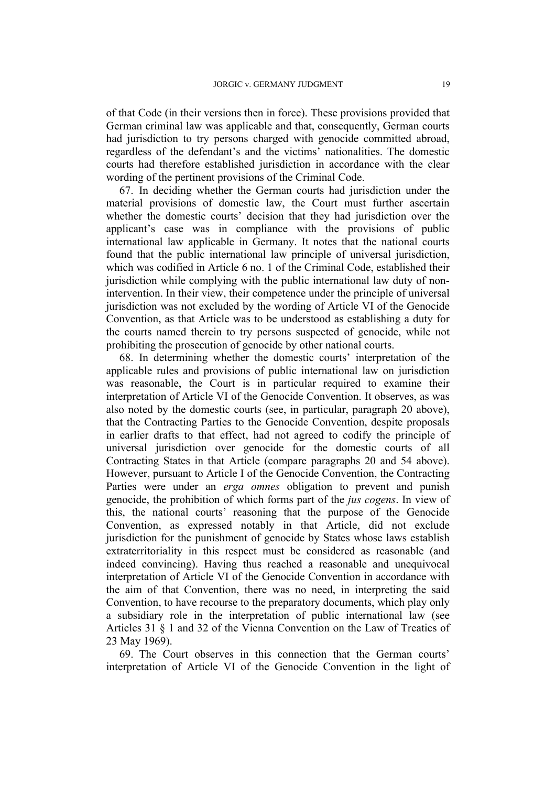of that Code (in their versions then in force). These provisions provided that German criminal law was applicable and that, consequently, German courts had jurisdiction to try persons charged with genocide committed abroad, regardless of the defendant's and the victims' nationalities. The domestic courts had therefore established jurisdiction in accordance with the clear wording of the pertinent provisions of the Criminal Code.

67. In deciding whether the German courts had jurisdiction under the material provisions of domestic law, the Court must further ascertain whether the domestic courts' decision that they had jurisdiction over the applicant's case was in compliance with the provisions of public international law applicable in Germany. It notes that the national courts found that the public international law principle of universal jurisdiction, which was codified in Article 6 no. 1 of the Criminal Code, established their jurisdiction while complying with the public international law duty of nonintervention. In their view, their competence under the principle of universal jurisdiction was not excluded by the wording of Article VI of the Genocide Convention, as that Article was to be understood as establishing a duty for the courts named therein to try persons suspected of genocide, while not prohibiting the prosecution of genocide by other national courts.

68. In determining whether the domestic courts' interpretation of the applicable rules and provisions of public international law on jurisdiction was reasonable, the Court is in particular required to examine their interpretation of Article VI of the Genocide Convention. It observes, as was also noted by the domestic courts (see, in particular, paragraph 20 above), that the Contracting Parties to the Genocide Convention, despite proposals in earlier drafts to that effect, had not agreed to codify the principle of universal jurisdiction over genocide for the domestic courts of all Contracting States in that Article (compare paragraphs 20 and 54 above). However, pursuant to Article I of the Genocide Convention, the Contracting Parties were under an *erga omnes* obligation to prevent and punish genocide, the prohibition of which forms part of the *jus cogens*. In view of this, the national courts' reasoning that the purpose of the Genocide Convention, as expressed notably in that Article, did not exclude jurisdiction for the punishment of genocide by States whose laws establish extraterritoriality in this respect must be considered as reasonable (and indeed convincing). Having thus reached a reasonable and unequivocal interpretation of Article VI of the Genocide Convention in accordance with the aim of that Convention, there was no need, in interpreting the said Convention, to have recourse to the preparatory documents, which play only a subsidiary role in the interpretation of public international law (see Articles 31 § 1 and 32 of the Vienna Convention on the Law of Treaties of 23 May 1969).

69. The Court observes in this connection that the German courts' interpretation of Article VI of the Genocide Convention in the light of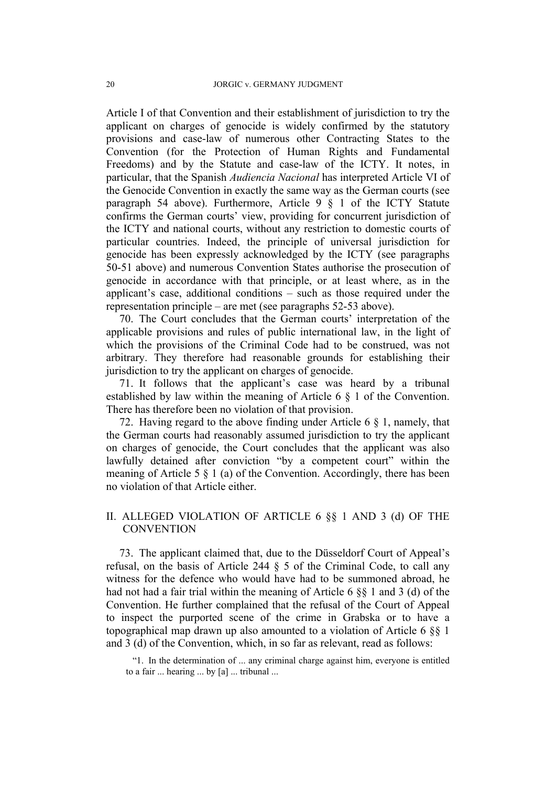Article I of that Convention and their establishment of jurisdiction to try the applicant on charges of genocide is widely confirmed by the statutory provisions and case-law of numerous other Contracting States to the Convention (for the Protection of Human Rights and Fundamental Freedoms) and by the Statute and case-law of the ICTY. It notes, in particular, that the Spanish *Audiencia Nacional* has interpreted Article VI of the Genocide Convention in exactly the same way as the German courts (see paragraph 54 above). Furthermore, Article 9 § 1 of the ICTY Statute confirms the German courts' view, providing for concurrent jurisdiction of the ICTY and national courts, without any restriction to domestic courts of particular countries. Indeed, the principle of universal jurisdiction for genocide has been expressly acknowledged by the ICTY (see paragraphs 50-51 above) and numerous Convention States authorise the prosecution of genocide in accordance with that principle, or at least where, as in the applicant's case, additional conditions – such as those required under the representation principle – are met (see paragraphs 52-53 above).

70. The Court concludes that the German courts' interpretation of the applicable provisions and rules of public international law, in the light of which the provisions of the Criminal Code had to be construed, was not arbitrary. They therefore had reasonable grounds for establishing their jurisdiction to try the applicant on charges of genocide.

71. It follows that the applicant's case was heard by a tribunal established by law within the meaning of Article 6 § 1 of the Convention. There has therefore been no violation of that provision.

72. Having regard to the above finding under Article 6 § 1, namely, that the German courts had reasonably assumed jurisdiction to try the applicant on charges of genocide, the Court concludes that the applicant was also lawfully detained after conviction "by a competent court" within the meaning of Article 5 § 1 (a) of the Convention. Accordingly, there has been no violation of that Article either.

# II. ALLEGED VIOLATION OF ARTICLE 6 §§ 1 AND 3 (d) OF THE **CONVENTION**

73. The applicant claimed that, due to the Düsseldorf Court of Appeal's refusal, on the basis of Article 244 § 5 of the Criminal Code, to call any witness for the defence who would have had to be summoned abroad, he had not had a fair trial within the meaning of Article 6 §§ 1 and 3 (d) of the Convention. He further complained that the refusal of the Court of Appeal to inspect the purported scene of the crime in Grabska or to have a topographical map drawn up also amounted to a violation of Article 6 §§ 1 and 3 (d) of the Convention, which, in so far as relevant, read as follows:

"1. In the determination of ... any criminal charge against him, everyone is entitled to a fair ... hearing ... by [a] ... tribunal ...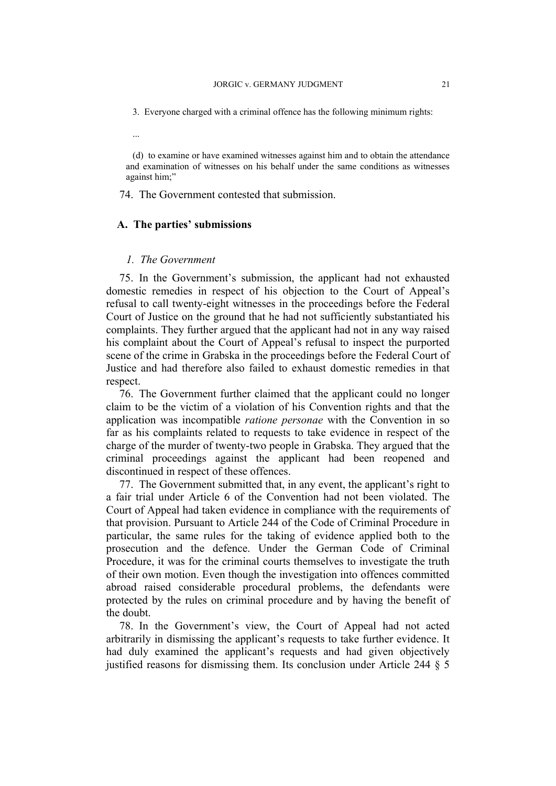3. Everyone charged with a criminal offence has the following minimum rights:

...

(d) to examine or have examined witnesses against him and to obtain the attendance and examination of witnesses on his behalf under the same conditions as witnesses against him;"

74. The Government contested that submission.

# **A. The parties' submissions**

### *1. The Government*

75. In the Government's submission, the applicant had not exhausted domestic remedies in respect of his objection to the Court of Appeal's refusal to call twenty-eight witnesses in the proceedings before the Federal Court of Justice on the ground that he had not sufficiently substantiated his complaints. They further argued that the applicant had not in any way raised his complaint about the Court of Appeal's refusal to inspect the purported scene of the crime in Grabska in the proceedings before the Federal Court of Justice and had therefore also failed to exhaust domestic remedies in that respect.

76. The Government further claimed that the applicant could no longer claim to be the victim of a violation of his Convention rights and that the application was incompatible *ratione personae* with the Convention in so far as his complaints related to requests to take evidence in respect of the charge of the murder of twenty-two people in Grabska. They argued that the criminal proceedings against the applicant had been reopened and discontinued in respect of these offences.

77. The Government submitted that, in any event, the applicant's right to a fair trial under Article 6 of the Convention had not been violated. The Court of Appeal had taken evidence in compliance with the requirements of that provision. Pursuant to Article 244 of the Code of Criminal Procedure in particular, the same rules for the taking of evidence applied both to the prosecution and the defence. Under the German Code of Criminal Procedure, it was for the criminal courts themselves to investigate the truth of their own motion. Even though the investigation into offences committed abroad raised considerable procedural problems, the defendants were protected by the rules on criminal procedure and by having the benefit of the doubt.

78. In the Government's view, the Court of Appeal had not acted arbitrarily in dismissing the applicant's requests to take further evidence. It had duly examined the applicant's requests and had given objectively justified reasons for dismissing them. Its conclusion under Article 244  $\&$  5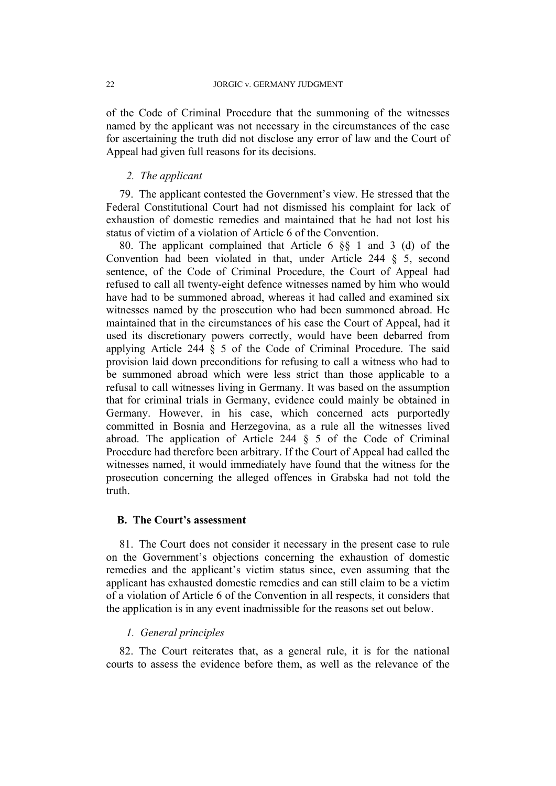of the Code of Criminal Procedure that the summoning of the witnesses named by the applicant was not necessary in the circumstances of the case for ascertaining the truth did not disclose any error of law and the Court of Appeal had given full reasons for its decisions.

# *2. The applicant*

79. The applicant contested the Government's view. He stressed that the Federal Constitutional Court had not dismissed his complaint for lack of exhaustion of domestic remedies and maintained that he had not lost his status of victim of a violation of Article 6 of the Convention.

80. The applicant complained that Article 6 §§ 1 and 3 (d) of the Convention had been violated in that, under Article 244 § 5, second sentence, of the Code of Criminal Procedure, the Court of Appeal had refused to call all twenty-eight defence witnesses named by him who would have had to be summoned abroad, whereas it had called and examined six witnesses named by the prosecution who had been summoned abroad. He maintained that in the circumstances of his case the Court of Appeal, had it used its discretionary powers correctly, would have been debarred from applying Article 244 § 5 of the Code of Criminal Procedure. The said provision laid down preconditions for refusing to call a witness who had to be summoned abroad which were less strict than those applicable to a refusal to call witnesses living in Germany. It was based on the assumption that for criminal trials in Germany, evidence could mainly be obtained in Germany. However, in his case, which concerned acts purportedly committed in Bosnia and Herzegovina, as a rule all the witnesses lived abroad. The application of Article 244 § 5 of the Code of Criminal Procedure had therefore been arbitrary. If the Court of Appeal had called the witnesses named, it would immediately have found that the witness for the prosecution concerning the alleged offences in Grabska had not told the truth.

# **B. The Court's assessment**

81. The Court does not consider it necessary in the present case to rule on the Government's objections concerning the exhaustion of domestic remedies and the applicant's victim status since, even assuming that the applicant has exhausted domestic remedies and can still claim to be a victim of a violation of Article 6 of the Convention in all respects, it considers that the application is in any event inadmissible for the reasons set out below.

# *1. General principles*

82. The Court reiterates that, as a general rule, it is for the national courts to assess the evidence before them, as well as the relevance of the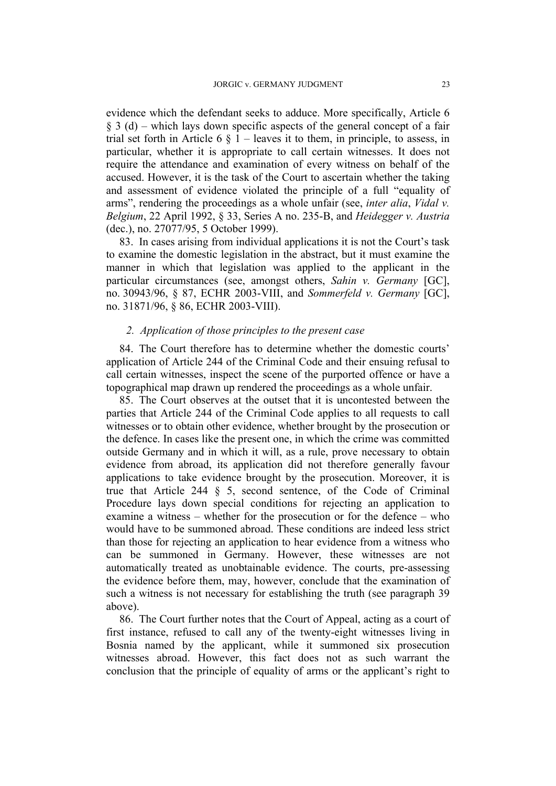evidence which the defendant seeks to adduce. More specifically, Article 6 § 3 (d) – which lays down specific aspects of the general concept of a fair trial set forth in Article 6  $\S$  1 – leaves it to them, in principle, to assess, in particular, whether it is appropriate to call certain witnesses. It does not require the attendance and examination of every witness on behalf of the accused. However, it is the task of the Court to ascertain whether the taking and assessment of evidence violated the principle of a full "equality of arms", rendering the proceedings as a whole unfair (see, *inter alia*, *Vidal v. Belgium*, 22 April 1992, § 33, Series A no. 235-B, and *Heidegger v. Austria* (dec.), no. 27077/95, 5 October 1999).

83. In cases arising from individual applications it is not the Court's task to examine the domestic legislation in the abstract, but it must examine the manner in which that legislation was applied to the applicant in the particular circumstances (see, amongst others, *Sahin v. Germany* [GC], no. 30943/96, § 87, ECHR 2003-VIII, and *Sommerfeld v. Germany* [GC], no. 31871/96, § 86, ECHR 2003-VIII).

### *2. Application of those principles to the present case*

84. The Court therefore has to determine whether the domestic courts' application of Article 244 of the Criminal Code and their ensuing refusal to call certain witnesses, inspect the scene of the purported offence or have a topographical map drawn up rendered the proceedings as a whole unfair.

85. The Court observes at the outset that it is uncontested between the parties that Article 244 of the Criminal Code applies to all requests to call witnesses or to obtain other evidence, whether brought by the prosecution or the defence. In cases like the present one, in which the crime was committed outside Germany and in which it will, as a rule, prove necessary to obtain evidence from abroad, its application did not therefore generally favour applications to take evidence brought by the prosecution. Moreover, it is true that Article 244 § 5, second sentence, of the Code of Criminal Procedure lays down special conditions for rejecting an application to examine a witness – whether for the prosecution or for the defence – who would have to be summoned abroad. These conditions are indeed less strict than those for rejecting an application to hear evidence from a witness who can be summoned in Germany. However, these witnesses are not automatically treated as unobtainable evidence. The courts, pre-assessing the evidence before them, may, however, conclude that the examination of such a witness is not necessary for establishing the truth (see paragraph 39 above).

86. The Court further notes that the Court of Appeal, acting as a court of first instance, refused to call any of the twenty-eight witnesses living in Bosnia named by the applicant, while it summoned six prosecution witnesses abroad. However, this fact does not as such warrant the conclusion that the principle of equality of arms or the applicant's right to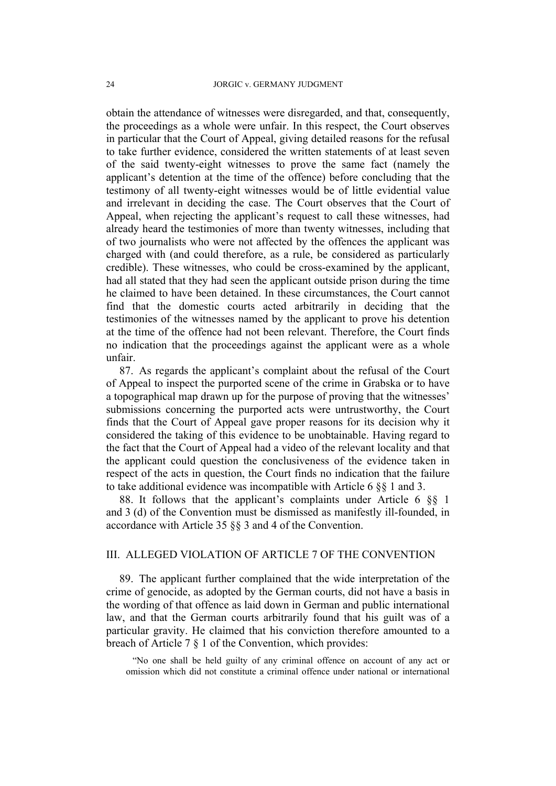obtain the attendance of witnesses were disregarded, and that, consequently, the proceedings as a whole were unfair. In this respect, the Court observes in particular that the Court of Appeal, giving detailed reasons for the refusal to take further evidence, considered the written statements of at least seven of the said twenty-eight witnesses to prove the same fact (namely the applicant's detention at the time of the offence) before concluding that the testimony of all twenty-eight witnesses would be of little evidential value and irrelevant in deciding the case. The Court observes that the Court of Appeal, when rejecting the applicant's request to call these witnesses, had already heard the testimonies of more than twenty witnesses, including that of two journalists who were not affected by the offences the applicant was charged with (and could therefore, as a rule, be considered as particularly credible). These witnesses, who could be cross-examined by the applicant, had all stated that they had seen the applicant outside prison during the time he claimed to have been detained. In these circumstances, the Court cannot find that the domestic courts acted arbitrarily in deciding that the testimonies of the witnesses named by the applicant to prove his detention at the time of the offence had not been relevant. Therefore, the Court finds no indication that the proceedings against the applicant were as a whole unfair.

87. As regards the applicant's complaint about the refusal of the Court of Appeal to inspect the purported scene of the crime in Grabska or to have a topographical map drawn up for the purpose of proving that the witnesses' submissions concerning the purported acts were untrustworthy, the Court finds that the Court of Appeal gave proper reasons for its decision why it considered the taking of this evidence to be unobtainable. Having regard to the fact that the Court of Appeal had a video of the relevant locality and that the applicant could question the conclusiveness of the evidence taken in respect of the acts in question, the Court finds no indication that the failure to take additional evidence was incompatible with Article 6 §§ 1 and 3.

88. It follows that the applicant's complaints under Article 6 §§ 1 and 3 (d) of the Convention must be dismissed as manifestly ill-founded, in accordance with Article 35 §§ 3 and 4 of the Convention.

# III. ALLEGED VIOLATION OF ARTICLE 7 OF THE CONVENTION

89. The applicant further complained that the wide interpretation of the crime of genocide, as adopted by the German courts, did not have a basis in the wording of that offence as laid down in German and public international law, and that the German courts arbitrarily found that his guilt was of a particular gravity. He claimed that his conviction therefore amounted to a breach of Article 7 § 1 of the Convention, which provides:

"No one shall be held guilty of any criminal offence on account of any act or omission which did not constitute a criminal offence under national or international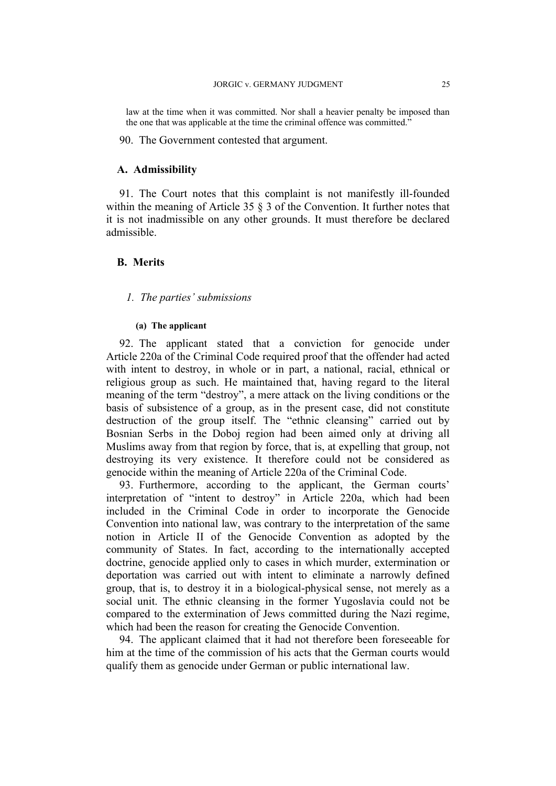law at the time when it was committed. Nor shall a heavier penalty be imposed than the one that was applicable at the time the criminal offence was committed."

90. The Government contested that argument.

### **A. Admissibility**

91. The Court notes that this complaint is not manifestly ill-founded within the meaning of Article 35  $\S$  3 of the Convention. It further notes that it is not inadmissible on any other grounds. It must therefore be declared admissible.

# **B. Merits**

### *1. The parties' submissions*

### **(a) The applicant**

92. The applicant stated that a conviction for genocide under Article 220a of the Criminal Code required proof that the offender had acted with intent to destroy, in whole or in part, a national, racial, ethnical or religious group as such. He maintained that, having regard to the literal meaning of the term "destroy", a mere attack on the living conditions or the basis of subsistence of a group, as in the present case, did not constitute destruction of the group itself. The "ethnic cleansing" carried out by Bosnian Serbs in the Doboj region had been aimed only at driving all Muslims away from that region by force, that is, at expelling that group, not destroying its very existence. It therefore could not be considered as genocide within the meaning of Article 220a of the Criminal Code.

93. Furthermore, according to the applicant, the German courts' interpretation of "intent to destroy" in Article 220a, which had been included in the Criminal Code in order to incorporate the Genocide Convention into national law, was contrary to the interpretation of the same notion in Article II of the Genocide Convention as adopted by the community of States. In fact, according to the internationally accepted doctrine, genocide applied only to cases in which murder, extermination or deportation was carried out with intent to eliminate a narrowly defined group, that is, to destroy it in a biological-physical sense, not merely as a social unit. The ethnic cleansing in the former Yugoslavia could not be compared to the extermination of Jews committed during the Nazi regime, which had been the reason for creating the Genocide Convention.

94. The applicant claimed that it had not therefore been foreseeable for him at the time of the commission of his acts that the German courts would qualify them as genocide under German or public international law.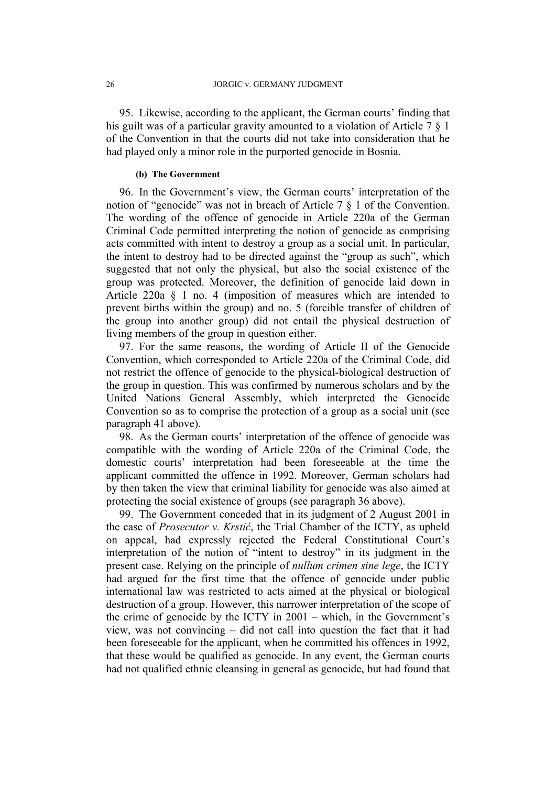95. Likewise, according to the applicant, the German courts' finding that his guilt was of a particular gravity amounted to a violation of Article 7 § 1 of the Convention in that the courts did not take into consideration that he had played only a minor role in the purported genocide in Bosnia.

### **(b) The Government**

96. In the Government's view, the German courts' interpretation of the notion of "genocide" was not in breach of Article 7 § 1 of the Convention. The wording of the offence of genocide in Article 220a of the German Criminal Code permitted interpreting the notion of genocide as comprising acts committed with intent to destroy a group as a social unit. In particular, the intent to destroy had to be directed against the "group as such", which suggested that not only the physical, but also the social existence of the group was protected. Moreover, the definition of genocide laid down in Article 220a § 1 no. 4 (imposition of measures which are intended to prevent births within the group) and no. 5 (forcible transfer of children of the group into another group) did not entail the physical destruction of living members of the group in question either.

97. For the same reasons, the wording of Article II of the Genocide Convention, which corresponded to Article 220a of the Criminal Code, did not restrict the offence of genocide to the physical-biological destruction of the group in question. This was confirmed by numerous scholars and by the United Nations General Assembly, which interpreted the Genocide Convention so as to comprise the protection of a group as a social unit (see paragraph 41 above).

98. As the German courts' interpretation of the offence of genocide was compatible with the wording of Article 220a of the Criminal Code, the domestic courts' interpretation had been foreseeable at the time the applicant committed the offence in 1992. Moreover, German scholars had by then taken the view that criminal liability for genocide was also aimed at protecting the social existence of groups (see paragraph 36 above).

99. The Government conceded that in its judgment of 2 August 2001 in the case of *Prosecutor v. Krstić*, the Trial Chamber of the ICTY, as upheld on appeal, had expressly rejected the Federal Constitutional Court's interpretation of the notion of "intent to destroy" in its judgment in the present case. Relying on the principle of *nullum crimen sine lege*, the ICTY had argued for the first time that the offence of genocide under public international law was restricted to acts aimed at the physical or biological destruction of a group. However, this narrower interpretation of the scope of the crime of genocide by the ICTY in 2001 – which, in the Government's view, was not convincing – did not call into question the fact that it had been foreseeable for the applicant, when he committed his offences in 1992, that these would be qualified as genocide. In any event, the German courts had not qualified ethnic cleansing in general as genocide, but had found that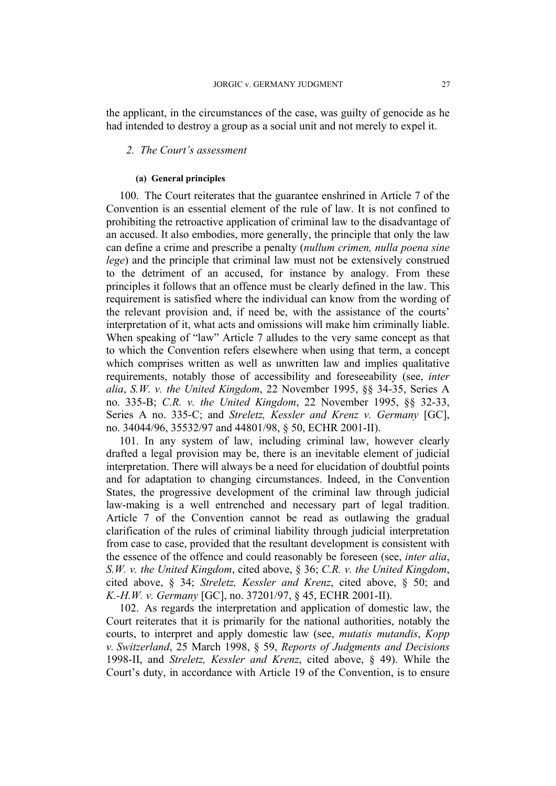the applicant, in the circumstances of the case, was guilty of genocide as he had intended to destroy a group as a social unit and not merely to expel it.

# *2. The Court's assessment*

### **(a) General principles**

100. The Court reiterates that the guarantee enshrined in Article 7 of the Convention is an essential element of the rule of law. It is not confined to prohibiting the retroactive application of criminal law to the disadvantage of an accused. It also embodies, more generally, the principle that only the law can define a crime and prescribe a penalty (*nullum crimen, nulla poena sine lege*) and the principle that criminal law must not be extensively construed to the detriment of an accused, for instance by analogy. From these principles it follows that an offence must be clearly defined in the law. This requirement is satisfied where the individual can know from the wording of the relevant provision and, if need be, with the assistance of the courts' interpretation of it, what acts and omissions will make him criminally liable. When speaking of "law" Article 7 alludes to the very same concept as that to which the Convention refers elsewhere when using that term, a concept which comprises written as well as unwritten law and implies qualitative requirements, notably those of accessibility and foreseeability (see, *inter alia*, *S.W. v. the United Kingdom*, 22 November 1995, §§ 34-35, Series A no. 335-B; *C.R. v. the United Kingdom*, 22 November 1995, §§ 32-33, Series A no. 335-C; and *Streletz, Kessler and Krenz v. Germany* [GC], no. 34044/96, 35532/97 and 44801/98, § 50, ECHR 2001-II).

101. In any system of law, including criminal law, however clearly drafted a legal provision may be, there is an inevitable element of judicial interpretation. There will always be a need for elucidation of doubtful points and for adaptation to changing circumstances. Indeed, in the Convention States, the progressive development of the criminal law through judicial law-making is a well entrenched and necessary part of legal tradition. Article 7 of the Convention cannot be read as outlawing the gradual clarification of the rules of criminal liability through judicial interpretation from case to case, provided that the resultant development is consistent with the essence of the offence and could reasonably be foreseen (see, *inter alia*, *S.W. v. the United Kingdom*, cited above, § 36; *C.R. v. the United Kingdom*, cited above, § 34; *Streletz, Kessler and Krenz*, cited above, § 50; and *K.-H.W. v. Germany* [GC], no. 37201/97, § 45, ECHR 2001-II).

102. As regards the interpretation and application of domestic law, the Court reiterates that it is primarily for the national authorities, notably the courts, to interpret and apply domestic law (see, *mutatis mutandis*, *Kopp v. Switzerland*, 25 March 1998, § 59, *Reports of Judgments and Decisions* 1998-II, and *Streletz, Kessler and Krenz*, cited above, § 49). While the Court's duty, in accordance with Article 19 of the Convention, is to ensure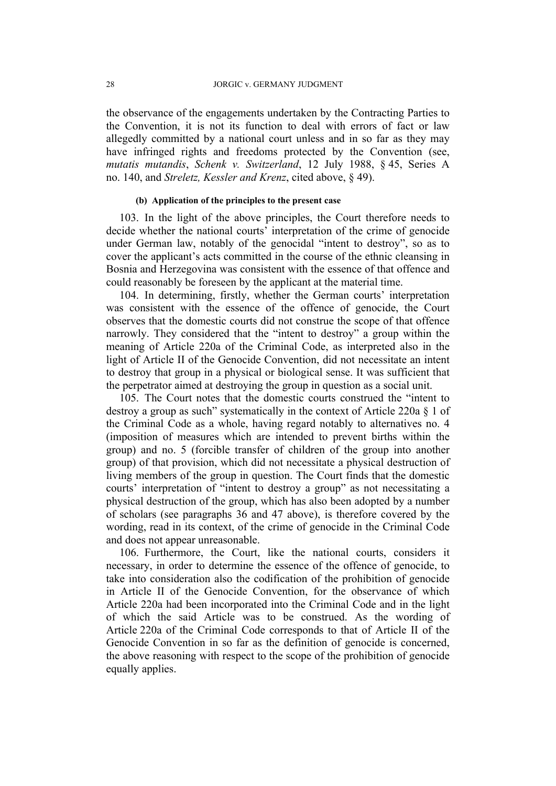the observance of the engagements undertaken by the Contracting Parties to the Convention, it is not its function to deal with errors of fact or law allegedly committed by a national court unless and in so far as they may have infringed rights and freedoms protected by the Convention (see, *mutatis mutandis*, *Schenk v. Switzerland*, 12 July 1988, § 45, Series A no. 140, and *Streletz, Kessler and Krenz*, cited above, § 49).

# **(b) Application of the principles to the present case**

103. In the light of the above principles, the Court therefore needs to decide whether the national courts' interpretation of the crime of genocide under German law, notably of the genocidal "intent to destroy", so as to cover the applicant's acts committed in the course of the ethnic cleansing in Bosnia and Herzegovina was consistent with the essence of that offence and could reasonably be foreseen by the applicant at the material time.

104. In determining, firstly, whether the German courts' interpretation was consistent with the essence of the offence of genocide, the Court observes that the domestic courts did not construe the scope of that offence narrowly. They considered that the "intent to destroy" a group within the meaning of Article 220a of the Criminal Code, as interpreted also in the light of Article II of the Genocide Convention, did not necessitate an intent to destroy that group in a physical or biological sense. It was sufficient that the perpetrator aimed at destroying the group in question as a social unit.

105. The Court notes that the domestic courts construed the "intent to destroy a group as such" systematically in the context of Article 220a § 1 of the Criminal Code as a whole, having regard notably to alternatives no. 4 (imposition of measures which are intended to prevent births within the group) and no. 5 (forcible transfer of children of the group into another group) of that provision, which did not necessitate a physical destruction of living members of the group in question. The Court finds that the domestic courts' interpretation of "intent to destroy a group" as not necessitating a physical destruction of the group, which has also been adopted by a number of scholars (see paragraphs 36 and 47 above), is therefore covered by the wording, read in its context, of the crime of genocide in the Criminal Code and does not appear unreasonable.

106. Furthermore, the Court, like the national courts, considers it necessary, in order to determine the essence of the offence of genocide, to take into consideration also the codification of the prohibition of genocide in Article II of the Genocide Convention, for the observance of which Article 220a had been incorporated into the Criminal Code and in the light of which the said Article was to be construed. As the wording of Article 220a of the Criminal Code corresponds to that of Article II of the Genocide Convention in so far as the definition of genocide is concerned, the above reasoning with respect to the scope of the prohibition of genocide equally applies.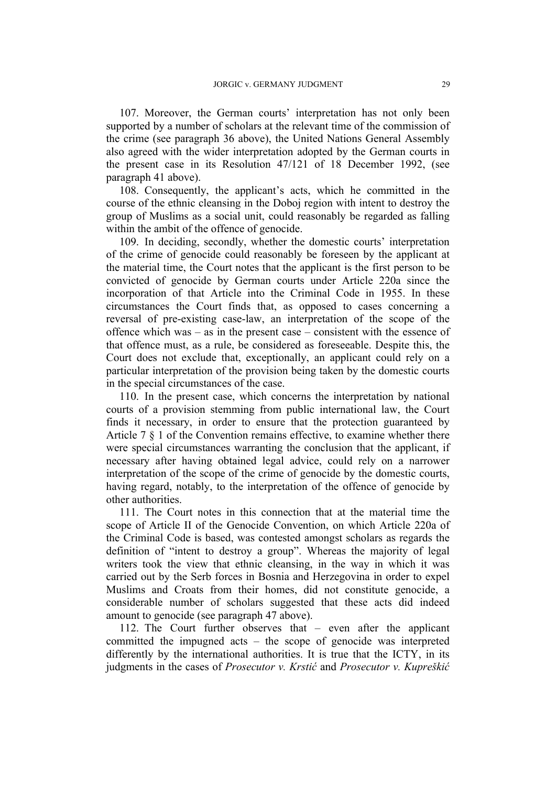107. Moreover, the German courts' interpretation has not only been supported by a number of scholars at the relevant time of the commission of the crime (see paragraph 36 above), the United Nations General Assembly also agreed with the wider interpretation adopted by the German courts in the present case in its Resolution 47/121 of 18 December 1992, (see paragraph 41 above).

108. Consequently, the applicant's acts, which he committed in the course of the ethnic cleansing in the Doboj region with intent to destroy the group of Muslims as a social unit, could reasonably be regarded as falling within the ambit of the offence of genocide.

109. In deciding, secondly, whether the domestic courts' interpretation of the crime of genocide could reasonably be foreseen by the applicant at the material time, the Court notes that the applicant is the first person to be convicted of genocide by German courts under Article 220a since the incorporation of that Article into the Criminal Code in 1955. In these circumstances the Court finds that, as opposed to cases concerning a reversal of pre-existing case-law, an interpretation of the scope of the offence which was – as in the present case – consistent with the essence of that offence must, as a rule, be considered as foreseeable. Despite this, the Court does not exclude that, exceptionally, an applicant could rely on a particular interpretation of the provision being taken by the domestic courts in the special circumstances of the case.

110. In the present case, which concerns the interpretation by national courts of a provision stemming from public international law, the Court finds it necessary, in order to ensure that the protection guaranteed by Article 7 § 1 of the Convention remains effective, to examine whether there were special circumstances warranting the conclusion that the applicant, if necessary after having obtained legal advice, could rely on a narrower interpretation of the scope of the crime of genocide by the domestic courts, having regard, notably, to the interpretation of the offence of genocide by other authorities.

111. The Court notes in this connection that at the material time the scope of Article II of the Genocide Convention, on which Article 220a of the Criminal Code is based, was contested amongst scholars as regards the definition of "intent to destroy a group". Whereas the majority of legal writers took the view that ethnic cleansing, in the way in which it was carried out by the Serb forces in Bosnia and Herzegovina in order to expel Muslims and Croats from their homes, did not constitute genocide, a considerable number of scholars suggested that these acts did indeed amount to genocide (see paragraph 47 above).

112. The Court further observes that – even after the applicant committed the impugned acts – the scope of genocide was interpreted differently by the international authorities. It is true that the ICTY, in its judgments in the cases of *Prosecutor v. Krstić* and *Prosecutor v. Kupreškić*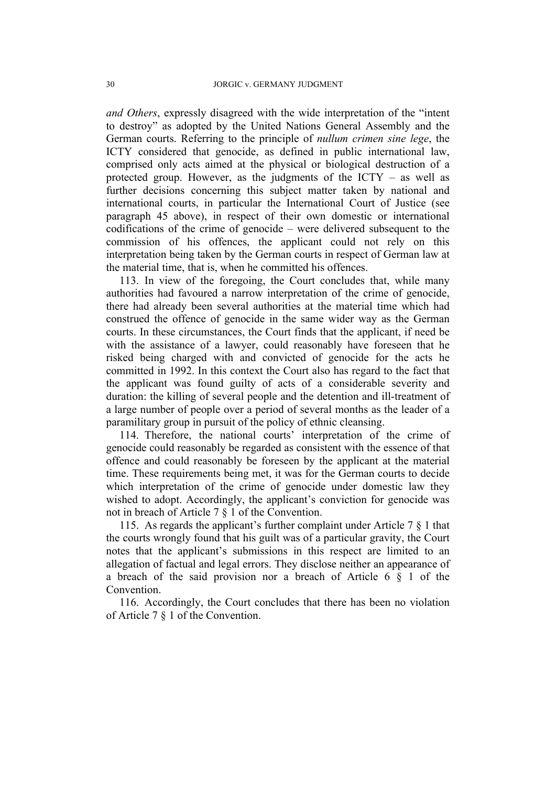*and Others*, expressly disagreed with the wide interpretation of the "intent to destroy" as adopted by the United Nations General Assembly and the German courts. Referring to the principle of *nullum crimen sine lege*, the ICTY considered that genocide, as defined in public international law, comprised only acts aimed at the physical or biological destruction of a protected group. However, as the judgments of the  $\text{ICTY}$  – as well as further decisions concerning this subject matter taken by national and international courts, in particular the International Court of Justice (see paragraph 45 above), in respect of their own domestic or international codifications of the crime of genocide – were delivered subsequent to the commission of his offences, the applicant could not rely on this interpretation being taken by the German courts in respect of German law at the material time, that is, when he committed his offences.

113. In view of the foregoing, the Court concludes that, while many authorities had favoured a narrow interpretation of the crime of genocide, there had already been several authorities at the material time which had construed the offence of genocide in the same wider way as the German courts. In these circumstances, the Court finds that the applicant, if need be with the assistance of a lawyer, could reasonably have foreseen that he risked being charged with and convicted of genocide for the acts he committed in 1992. In this context the Court also has regard to the fact that the applicant was found guilty of acts of a considerable severity and duration: the killing of several people and the detention and ill-treatment of a large number of people over a period of several months as the leader of a paramilitary group in pursuit of the policy of ethnic cleansing.

114. Therefore, the national courts' interpretation of the crime of genocide could reasonably be regarded as consistent with the essence of that offence and could reasonably be foreseen by the applicant at the material time. These requirements being met, it was for the German courts to decide which interpretation of the crime of genocide under domestic law they wished to adopt. Accordingly, the applicant's conviction for genocide was not in breach of Article 7 § 1 of the Convention.

115. As regards the applicant's further complaint under Article 7 § 1 that the courts wrongly found that his guilt was of a particular gravity, the Court notes that the applicant's submissions in this respect are limited to an allegation of factual and legal errors. They disclose neither an appearance of a breach of the said provision nor a breach of Article 6 § 1 of the Convention.

116. Accordingly, the Court concludes that there has been no violation of Article 7 § 1 of the Convention.